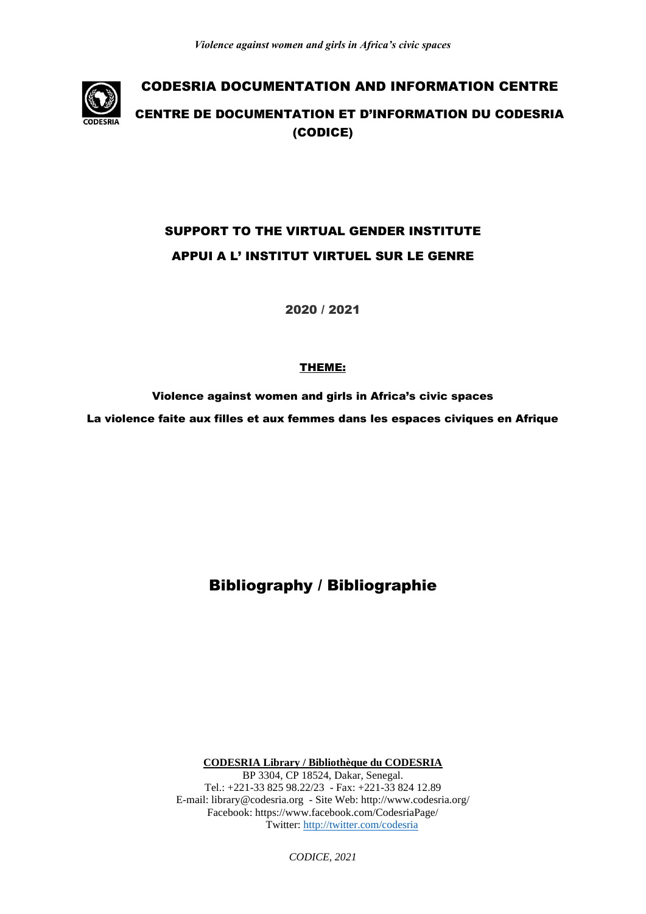

# SUPPORT TO THE VIRTUAL GENDER INSTITUTE APPUI A L' INSTITUT VIRTUEL SUR LE GENRE

2020 / 2021

# THEME:

Violence against women and girls in Africa's civic spaces La violence faite aux filles et aux femmes dans les espaces civiques en Afrique

Bibliography / Bibliographie

**CODESRIA Library / Bibliothèque du CODESRIA** BP 3304, CP 18524, Dakar, Senegal. Tel.: +221-33 825 98.22/23 - Fax: +221-33 824 12.89

E-mail: library@codesria.org - Site Web: http://www.codesria.org/ Facebook: https://www.facebook.com/CodesriaPage/ Twitter:<http://twitter.com/codesria>

*CODICE, 2021*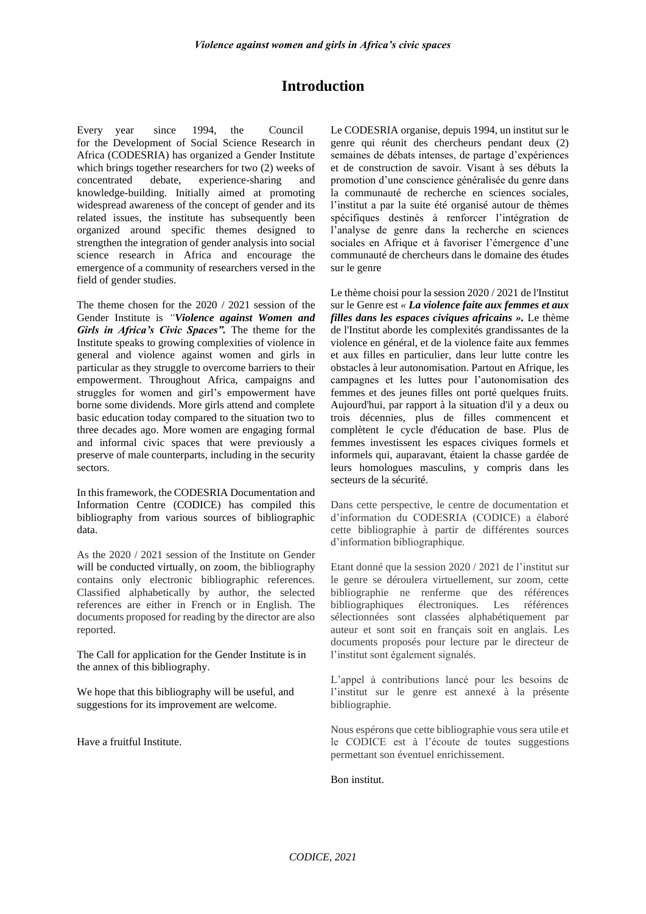# **Introduction**

Every year since 1994, the Council for the Development of Social Science Research in Africa (CODESRIA) has organized a Gender Institute which brings together researchers for two (2) weeks of concentrated debate, experience-sharing and knowledge-building. Initially aimed at promoting widespread awareness of the concept of gender and its related issues, the institute has subsequently been organized around specific themes designed to strengthen the integration of gender analysis into social science research in Africa and encourage the emergence of a community of researchers versed in the field of gender studies.

The theme chosen for the 2020 / 2021 session of the Gender Institute is *"Violence against Women and Girls in Africa's Civic Spaces".* The theme for the Institute speaks to growing complexities of violence in general and violence against women and girls in particular as they struggle to overcome barriers to their empowerment. Throughout Africa, campaigns and struggles for women and girl's empowerment have borne some dividends. More girls attend and complete basic education today compared to the situation two to three decades ago. More women are engaging formal and informal civic spaces that were previously a preserve of male counterparts, including in the security sectors.

In this framework, the CODESRIA Documentation and Information Centre (CODICE) has compiled this bibliography from various sources of bibliographic data.

As the 2020 / 2021 session of the Institute on Gender will be conducted virtually, on zoom, the bibliography contains only electronic bibliographic references. Classified alphabetically by author, the selected references are either in French or in English. The documents proposed for reading by the director are also reported.

The Call for application for the Gender Institute is in the annex of this bibliography.

We hope that this bibliography will be useful, and suggestions for its improvement are welcome.

Have a fruitful Institute.

Le CODESRIA organise, depuis 1994, un institut sur le genre qui réunit des chercheurs pendant deux (2) semaines de débats intenses, de partage d'expériences et de construction de savoir. Visant à ses débuts la promotion d'une conscience généralisée du genre dans la communauté de recherche en sciences sociales, l'institut a par la suite été organisé autour de thèmes spécifiques destinés à renforcer l'intégration de l'analyse de genre dans la recherche en sciences sociales en Afrique et à favoriser l'émergence d'une communauté de chercheurs dans le domaine des études sur le genre

Le thème choisi pour la session 2020 / 2021 de l'Institut sur le Genre est *« La violence faite aux femmes et aux filles dans les espaces civiques africains ».* Le thème de l'Institut aborde les complexités grandissantes de la violence en général, et de la violence faite aux femmes et aux filles en particulier, dans leur lutte contre les obstacles à leur autonomisation. Partout en Afrique, les campagnes et les luttes pour l'autonomisation des femmes et des jeunes filles ont porté quelques fruits. Aujourd'hui, par rapport à la situation d'il y a deux ou trois décennies, plus de filles commencent et complètent le cycle d'éducation de base. Plus de femmes investissent les espaces civiques formels et informels qui, auparavant, étaient la chasse gardée de leurs homologues masculins, y compris dans les secteurs de la sécurité.

Dans cette perspective, le centre de documentation et d'information du CODESRIA (CODICE) a élaboré cette bibliographie à partir de différentes sources d'information bibliographique.

Etant donné que la session 2020 / 2021 de l'institut sur le genre se déroulera virtuellement, sur zoom, cette bibliographie ne renferme que des références bibliographiques électroniques. Les références sélectionnées sont classées alphabétiquement par auteur et sont soit en français soit en anglais. Les documents proposés pour lecture par le directeur de l'institut sont également signalés.

L'appel à contributions lancé pour les besoins de l'institut sur le genre est annexé à la présente bibliographie.

Nous espérons que cette bibliographie vous sera utile et le CODICE est à l'écoute de toutes suggestions permettant son éventuel enrichissement.

#### Bon institut.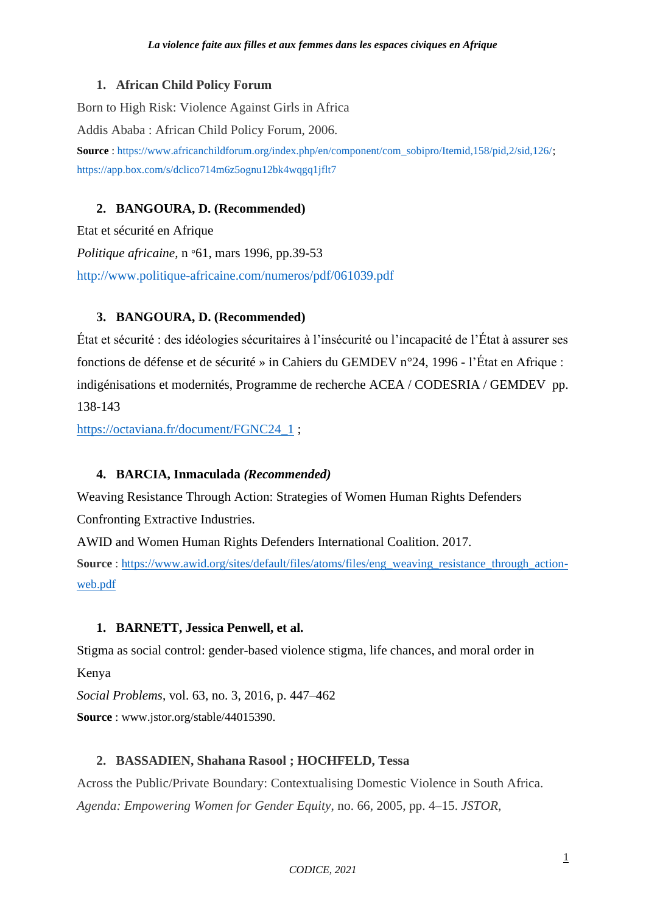# **1. African Child Policy Forum**

Born to High Risk: Violence Against Girls in Africa Addis Ababa : African Child Policy Forum, 2006. **Source** : [https://www.africanchildforum.org/index.php/en/component/com\\_sobipro/Itemid,158/pid,2/sid,126/;](https://www.africanchildforum.org/index.php/en/component/com_sobipro/Itemid,158/pid,2/sid,126/) <https://app.box.com/s/dclico714m6z5ognu12bk4wqgq1jflt7>

# **2. BANGOURA, D. (Recommended)**

Etat et sécurité en Afrique *Politique africaine,* n °61, mars 1996, pp.39-53 <http://www.politique-africaine.com/numeros/pdf/061039.pdf>

# **3. BANGOURA, D. (Recommended)**

État et sécurité : des idéologies sécuritaires à l'insécurité ou l'incapacité de l'État à assurer ses fonctions de défense et de sécurité » in Cahiers du GEMDEV n°24, 1996 - l'État en Afrique : indigénisations et modernités, Programme de recherche ACEA / CODESRIA / GEMDEV pp. 138-143

[https://octaviana.fr/document/FGNC24\\_1](https://octaviana.fr/document/FGNC24_1) ;

# **4. BARCIA, Inmaculada** *(Recommended)*

Weaving Resistance Through Action: Strategies of Women Human Rights Defenders Confronting Extractive Industries.

AWID and Women Human Rights Defenders International Coalition. 2017.

**Source**: [https://www.awid.org/sites/default/files/atoms/files/eng\\_weaving\\_resistance\\_through\\_action](https://www.awid.org/sites/default/files/atoms/files/eng_weaving_resistance_through_action-web.pdf)[web.pdf](https://www.awid.org/sites/default/files/atoms/files/eng_weaving_resistance_through_action-web.pdf)

# **1. BARNETT, Jessica Penwell, et al.**

Stigma as social control: gender-based violence stigma, life chances, and moral order in Kenya

*Social Problems*, vol. 63, no. 3, 2016, p. 447–462 **Source** : www.jstor.org/stable/44015390.

# **2. BASSADIEN, Shahana Rasool ; HOCHFELD, Tessa**

Across the Public/Private Boundary: Contextualising Domestic Violence in South Africa. *Agenda: Empowering Women for Gender Equity*, no. 66, 2005, pp. 4–15. *JSTOR*,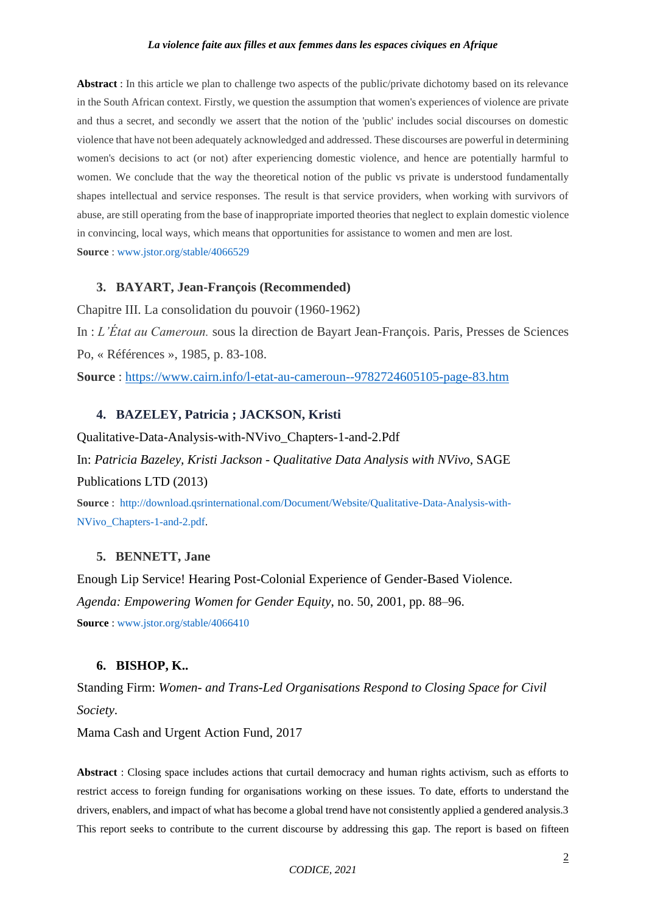**Abstract** : In this article we plan to challenge two aspects of the public/private dichotomy based on its relevance in the South African context. Firstly, we question the assumption that women's experiences of violence are private and thus a secret, and secondly we assert that the notion of the 'public' includes social discourses on domestic violence that have not been adequately acknowledged and addressed. These discourses are powerful in determining women's decisions to act (or not) after experiencing domestic violence, and hence are potentially harmful to women. We conclude that the way the theoretical notion of the public vs private is understood fundamentally shapes intellectual and service responses. The result is that service providers, when working with survivors of abuse, are still operating from the base of inappropriate imported theories that neglect to explain domestic violence in convincing, local ways, which means that opportunities for assistance to women and men are lost. **Source** : [www.jstor.org/stable/4066529](http://www.jstor.org/stable/4066529)

## **3. BAYART, Jean-François (Recommended)**

Chapitre III. La consolidation du pouvoir (1960-1962)

In : *L'État au Cameroun.* sous la direction de Bayart Jean-François. Paris, Presses de Sciences Po, « Références », 1985, p. 83-108.

**Source** :<https://www.cairn.info/l-etat-au-cameroun--9782724605105-page-83.htm>

### **4. BAZELEY, Patricia ; JACKSON, Kristi**

Qualitative-Data-Analysis-with-NVivo\_Chapters-1-and-2.Pdf In: *Patricia Bazeley, Kristi Jackson - Qualitative Data Analysis with NVivo,* SAGE Publications LTD (2013)

**Source** : [http://download.qsrinternational.com/Document/Website/Qualitative-Data-Analysis-with-](http://download.qsrinternational.com/Document/Website/Qualitative-Data-Analysis-with-NVivo_Chapters-1-and-2.pdf)[NVivo\\_Chapters-1-and-2.pdf.](http://download.qsrinternational.com/Document/Website/Qualitative-Data-Analysis-with-NVivo_Chapters-1-and-2.pdf)

#### **5. BENNETT, Jane**

Enough Lip Service! Hearing Post-Colonial Experience of Gender-Based Violence. *Agenda: Empowering Women for Gender Equity*, no. 50, 2001, pp. 88–96. **Source** : [www.jstor.org/stable/4066410](http://www.jstor.org/stable/4066410)

## **6. BISHOP, K..**

Standing Firm: *Women- and Trans-Led Organisations Respond to Closing Space for Civil Society*.

Mama Cash and Urgent Action Fund, 2017

**Abstract** : Closing space includes actions that curtail democracy and human rights activism, such as efforts to restrict access to foreign funding for organisations working on these issues. To date, efforts to understand the drivers, enablers, and impact of what has become a global trend have not consistently applied a gendered analysis.3 This report seeks to contribute to the current discourse by addressing this gap. The report is based on fifteen

*CODICE, 2021*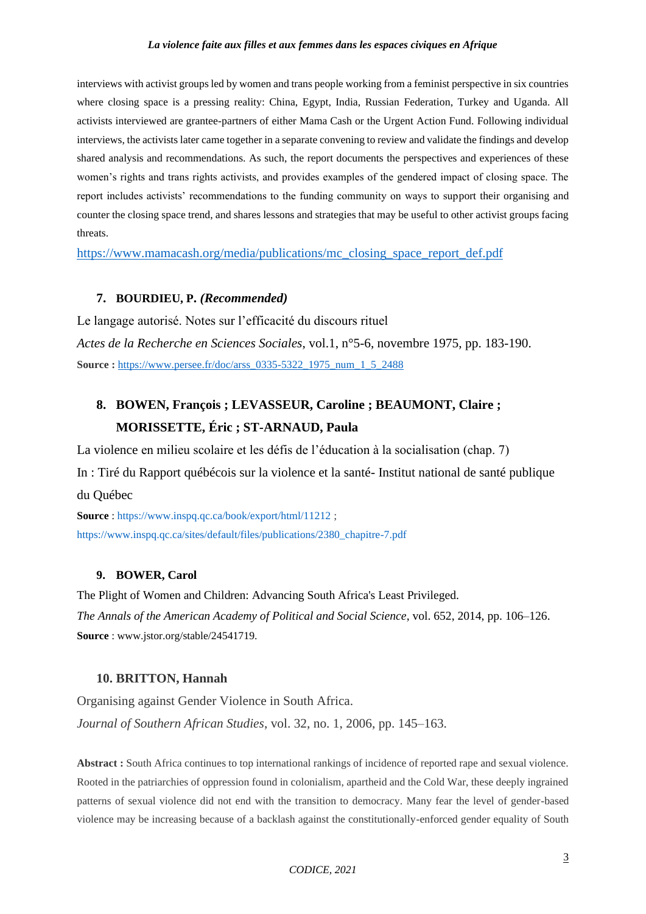interviews with activist groups led by women and trans people working from a feminist perspective in six countries where closing space is a pressing reality: China, Egypt, India, Russian Federation, Turkey and Uganda. All activists interviewed are grantee-partners of either Mama Cash or the Urgent Action Fund. Following individual interviews, the activists later came together in a separate convening to review and validate the findings and develop shared analysis and recommendations. As such, the report documents the perspectives and experiences of these women's rights and trans rights activists, and provides examples of the gendered impact of closing space. The report includes activists' recommendations to the funding community on ways to support their organising and counter the closing space trend, and shares lessons and strategies that may be useful to other activist groups facing threats.

[https://www.mamacash.org/media/publications/mc\\_closing\\_space\\_report\\_def.pdf](https://www.mamacash.org/media/publications/mc_closing_space_report_def.pdf)

### **7. BOURDIEU, P.** *(Recommended)*

Le langage autorisé. Notes sur l'efficacité du discours rituel *Actes de la Recherche en Sciences Sociales*, vol.1, n°5-6, novembre 1975, pp. 183-190. **Source :** https://www.persee.fr/doc/arss 0335-5322 1975 num\_1\_5\_2488

# **8. BOWEN, François ; LEVASSEUR, Caroline ; BEAUMONT, Claire ; MORISSETTE, Éric ; ST-ARNAUD, Paula**

La violence en milieu scolaire et les défis de l'éducation à la socialisation (chap. 7) In : Tiré du Rapport québécois sur la violence et la santé- Institut national de santé publique du Québec

**Source** :<https://www.inspq.qc.ca/book/export/html/11212> ; [https://www.inspq.qc.ca/sites/default/files/publications/2380\\_chapitre-7.pdf](https://www.inspq.qc.ca/sites/default/files/publications/2380_chapitre-7.pdf)

#### **9. BOWER, Carol**

The Plight of Women and Children: Advancing South Africa's Least Privileged. *The Annals of the American Academy of Political and Social Science*, vol. 652, 2014, pp. 106–126. **Source** : www.jstor.org/stable/24541719.

#### **10. BRITTON, Hannah**

Organising against Gender Violence in South Africa. *Journal of Southern African Studies*, vol. 32, no. 1, 2006, pp. 145–163.

**Abstract :** South Africa continues to top international rankings of incidence of reported rape and sexual violence. Rooted in the patriarchies of oppression found in colonialism, apartheid and the Cold War, these deeply ingrained patterns of sexual violence did not end with the transition to democracy. Many fear the level of gender-based violence may be increasing because of a backlash against the constitutionally-enforced gender equality of South

*CODICE, 2021*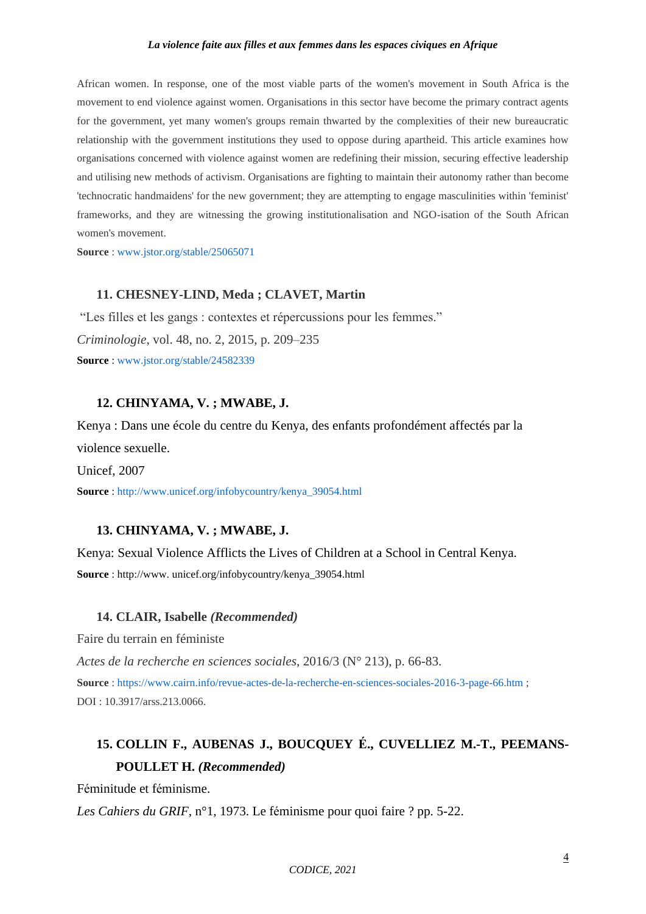African women. In response, one of the most viable parts of the women's movement in South Africa is the movement to end violence against women. Organisations in this sector have become the primary contract agents for the government, yet many women's groups remain thwarted by the complexities of their new bureaucratic relationship with the government institutions they used to oppose during apartheid. This article examines how organisations concerned with violence against women are redefining their mission, securing effective leadership and utilising new methods of activism. Organisations are fighting to maintain their autonomy rather than become 'technocratic handmaidens' for the new government; they are attempting to engage masculinities within 'feminist' frameworks, and they are witnessing the growing institutionalisation and NGO-isation of the South African women's movement.

**Source** : [www.jstor.org/stable/25065071](http://www.jstor.org/stable/25065071)

## **11. CHESNEY-LIND, Meda ; CLAVET, Martin**

"Les filles et les gangs : contextes et répercussions pour les femmes." *Criminologie*, vol. 48, no. 2, 2015, p. 209–235 **Source** : [www.jstor.org/stable/24582339](http://www.jstor.org/stable/24582339.)

## **12. CHINYAMA, V. ; MWABE, J.**

Kenya : Dans une école du centre du Kenya, des enfants profondément affectés par la violence sexuelle.

Unicef, 2007

**Source** : [http://www.unicef.org/infobycountry/kenya\\_39054.html](http://www.unicef.org/infobycountry/kenya_39054.html)

# **13. CHINYAMA, V. ; MWABE, J.**

Kenya: Sexual Violence Afflicts the Lives of Children at a School in Central Kenya. **Source** : http://www. unicef.org/infobycountry/kenya\_39054.html

#### **14. CLAIR, Isabelle** *(Recommended)*

Faire du terrain en féministe

*Actes de la recherche en sciences sociales*, 2016/3 (N° 213), p. 66-83. **Source** : <https://www.cairn.info/revue-actes-de-la-recherche-en-sciences-sociales-2016-3-page-66.htm> ; DOI : 10.3917/arss.213.0066.

# **15. COLLIN F., AUBENAS J., BOUCQUEY É., CUVELLIEZ M.-T., PEEMANS-POULLET H.** *(Recommended)*

Féminitude et féminisme.

*Les Cahiers du GRIF*, n°1, 1973. Le féminisme pour quoi faire ? pp. 5-22.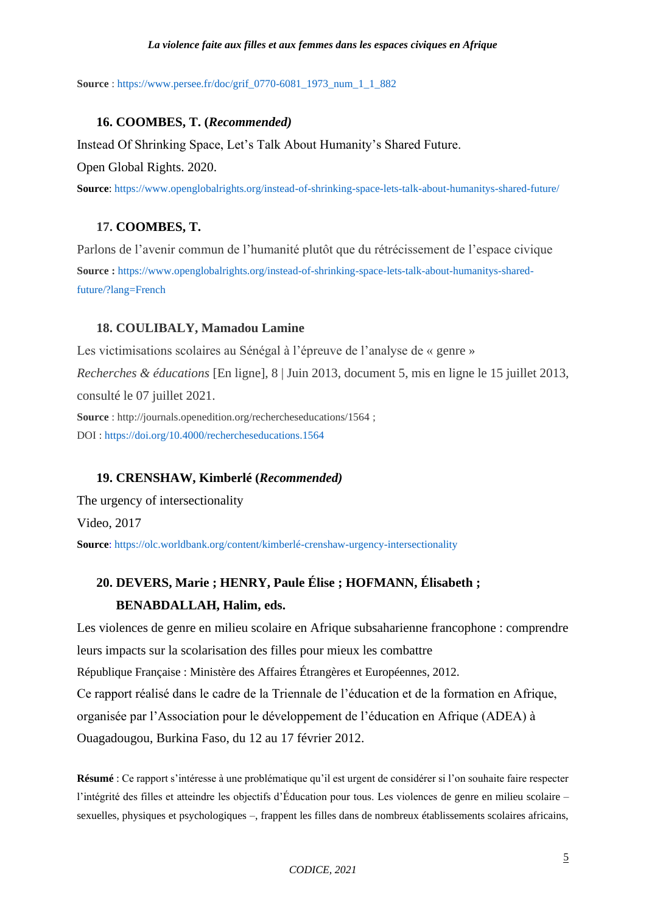**Source** : [https://www.persee.fr/doc/grif\\_0770-6081\\_1973\\_num\\_1\\_1\\_882](https://www.persee.fr/doc/grif_0770-6081_1973_num_1_1_882)

## **16. COOMBES, T. (***Recommended)*

Instead Of Shrinking Space, Let's Talk About Humanity's Shared Future.

Open Global Rights. 2020.

**Source**[: https://www.openglobalrights.org/instead-of-shrinking-space-lets-talk-about-humanitys-shared-future/](https://www.openglobalrights.org/instead-of-shrinking-space-lets-talk-about-humanitys-shared-future/) 

# **17. COOMBES, T.**

Parlons de l'avenir commun de l'humanité plutôt que du rétrécissement de l'espace civique **Source :** [https://www.openglobalrights.org/instead-of-shrinking-space-lets-talk-about-humanitys-shared](https://www.openglobalrights.org/instead-of-shrinking-space-lets-talk-about-humanitys-shared-future/?lang=French)[future/?lang=French](https://www.openglobalrights.org/instead-of-shrinking-space-lets-talk-about-humanitys-shared-future/?lang=French)

## **18. COULIBALY, Mamadou Lamine**

Les victimisations scolaires au Sénégal à l'épreuve de l'analyse de « genre » *Recherches & éducations* [En ligne], 8 | Juin 2013, document 5, mis en ligne le 15 juillet 2013, consulté le 07 juillet 2021.

**Source** : http://journals.openedition.org/rechercheseducations/1564 ; DOI :<https://doi.org/10.4000/rechercheseducations.1564>

## **19. CRENSHAW, Kimberlé (***Recommended)*

The urgency of intersectionality

Video, 2017

**Source**: <https://olc.worldbank.org/content/kimberlé-crenshaw-urgency-intersectionality>

# **20. DEVERS, Marie ; HENRY, Paule Élise ; HOFMANN, Élisabeth ; BENABDALLAH, Halim, eds.**

Les violences de genre en milieu scolaire en Afrique subsaharienne francophone : comprendre leurs impacts sur la scolarisation des filles pour mieux les combattre République Française : Ministère des Affaires Étrangères et Européennes, 2012. Ce rapport réalisé dans le cadre de la Triennale de l'éducation et de la formation en Afrique, organisée par l'Association pour le développement de l'éducation en Afrique (ADEA) à Ouagadougou, Burkina Faso, du 12 au 17 février 2012.

**Résumé** : Ce rapport s'intéresse à une problématique qu'il est urgent de considérer si l'on souhaite faire respecter l'intégrité des filles et atteindre les objectifs d'Éducation pour tous. Les violences de genre en milieu scolaire – sexuelles, physiques et psychologiques –, frappent les filles dans de nombreux établissements scolaires africains,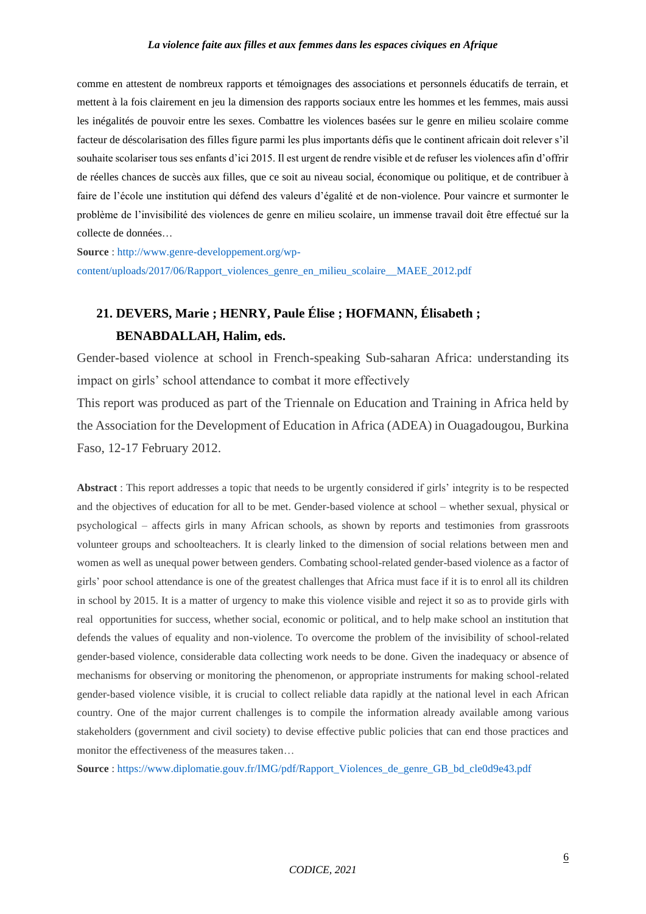comme en attestent de nombreux rapports et témoignages des associations et personnels éducatifs de terrain, et mettent à la fois clairement en jeu la dimension des rapports sociaux entre les hommes et les femmes, mais aussi les inégalités de pouvoir entre les sexes. Combattre les violences basées sur le genre en milieu scolaire comme facteur de déscolarisation des filles figure parmi les plus importants défis que le continent africain doit relever s'il souhaite scolariser tous ses enfants d'ici 2015. Il est urgent de rendre visible et de refuser les violences afin d'offrir de réelles chances de succès aux filles, que ce soit au niveau social, économique ou politique, et de contribuer à faire de l'école une institution qui défend des valeurs d'égalité et de non-violence. Pour vaincre et surmonter le problème de l'invisibilité des violences de genre en milieu scolaire, un immense travail doit être effectué sur la collecte de données…

**Source** : [http://www.genre-developpement.org/wp](http://www.genre-developpement.org/wp-content/uploads/2017/06/Rapport_violences_genre_en_milieu_scolaire__MAEE_2012.pdf)[content/uploads/2017/06/Rapport\\_violences\\_genre\\_en\\_milieu\\_scolaire\\_\\_MAEE\\_2012.pdf](http://www.genre-developpement.org/wp-content/uploads/2017/06/Rapport_violences_genre_en_milieu_scolaire__MAEE_2012.pdf)

# **21. DEVERS, Marie ; HENRY, Paule Élise ; HOFMANN, Élisabeth ; BENABDALLAH, Halim, eds.**

Gender-based violence at school in French-speaking Sub-saharan Africa: understanding its impact on girls' school attendance to combat it more effectively

This report was produced as part of the Triennale on Education and Training in Africa held by the Association for the Development of Education in Africa (ADEA) in Ouagadougou, Burkina Faso, 12-17 February 2012.

**Abstract** : This report addresses a topic that needs to be urgently considered if girls' integrity is to be respected and the objectives of education for all to be met. Gender-based violence at school – whether sexual, physical or psychological – affects girls in many African schools, as shown by reports and testimonies from grassroots volunteer groups and schoolteachers. It is clearly linked to the dimension of social relations between men and women as well as unequal power between genders. Combating school-related gender-based violence as a factor of girls' poor school attendance is one of the greatest challenges that Africa must face if it is to enrol all its children in school by 2015. It is a matter of urgency to make this violence visible and reject it so as to provide girls with real opportunities for success, whether social, economic or political, and to help make school an institution that defends the values of equality and non-violence. To overcome the problem of the invisibility of school-related gender-based violence, considerable data collecting work needs to be done. Given the inadequacy or absence of mechanisms for observing or monitoring the phenomenon, or appropriate instruments for making school-related gender-based violence visible, it is crucial to collect reliable data rapidly at the national level in each African country. One of the major current challenges is to compile the information already available among various stakeholders (government and civil society) to devise effective public policies that can end those practices and monitor the effectiveness of the measures taken…

**Source** : [https://www.diplomatie.gouv.fr/IMG/pdf/Rapport\\_Violences\\_de\\_genre\\_GB\\_bd\\_cle0d9e43.pdf](https://www.diplomatie.gouv.fr/IMG/pdf/Rapport_Violences_de_genre_GB_bd_cle0d9e43.pdf)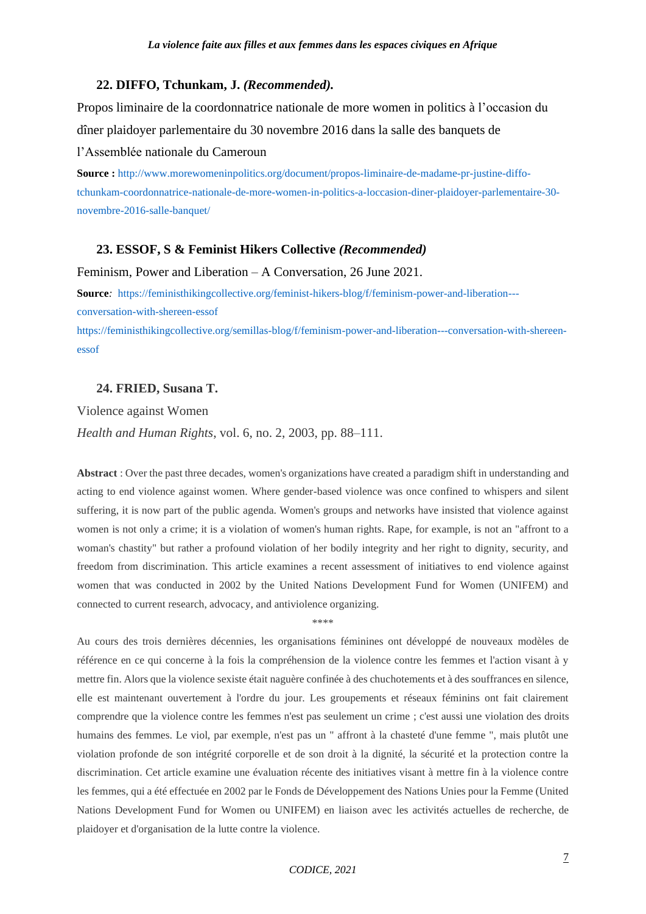### **22. DIFFO, Tchunkam, J.** *(Recommended).*

Propos liminaire de la coordonnatrice nationale de more women in politics à l'occasion du dîner plaidoyer parlementaire du 30 novembre 2016 dans la salle des banquets de l'Assemblée nationale du Cameroun

**Source :** [http://www.morewomeninpolitics.org/document/propos-liminaire-de-madame-pr-justine-diffo](http://www.morewomeninpolitics.org/document/propos-liminaire-de-madame-pr-justine-diffo-tchunkam-coordonnatrice-nationale-de-more-women-in-politics-a-loccasion-diner-plaidoyer-parlementaire-30-novembre-2016-salle-banquet/)[tchunkam-coordonnatrice-nationale-de-more-women-in-politics-a-loccasion-diner-plaidoyer-parlementaire-30](http://www.morewomeninpolitics.org/document/propos-liminaire-de-madame-pr-justine-diffo-tchunkam-coordonnatrice-nationale-de-more-women-in-politics-a-loccasion-diner-plaidoyer-parlementaire-30-novembre-2016-salle-banquet/) [novembre-2016-salle-banquet/](http://www.morewomeninpolitics.org/document/propos-liminaire-de-madame-pr-justine-diffo-tchunkam-coordonnatrice-nationale-de-more-women-in-politics-a-loccasion-diner-plaidoyer-parlementaire-30-novembre-2016-salle-banquet/)

#### **23. ESSOF, S & Feminist Hikers Collective** *(Recommended)*

Feminism, Power and Liberation – A Conversation, 26 June 2021.

**Source***:* [https://feministhikingcollective.org/feminist-hikers-blog/f/feminism-power-and-liberation--](https://feministhikingcollective.org/feminist-hikers-blog/f/feminism-power-and-liberation---conversation-with-shereen-essof) [conversation-with-shereen-essof](https://feministhikingcollective.org/feminist-hikers-blog/f/feminism-power-and-liberation---conversation-with-shereen-essof)

[https://feministhikingcollective.org/semillas-blog/f/feminism-power-and-liberation---conversation-with-shereen](https://feministhikingcollective.org/semillas-blog/f/feminism-power-and-liberation---conversation-with-shereen-essof)[essof](https://feministhikingcollective.org/semillas-blog/f/feminism-power-and-liberation---conversation-with-shereen-essof)

## **24. FRIED, Susana T.**

Violence against Women *Health and Human Rights*, vol. 6, no. 2, 2003, pp. 88–111.

**Abstract** : Over the past three decades, women's organizations have created a paradigm shift in understanding and acting to end violence against women. Where gender-based violence was once confined to whispers and silent suffering, it is now part of the public agenda. Women's groups and networks have insisted that violence against women is not only a crime; it is a violation of women's human rights. Rape, for example, is not an "affront to a woman's chastity" but rather a profound violation of her bodily integrity and her right to dignity, security, and freedom from discrimination. This article examines a recent assessment of initiatives to end violence against women that was conducted in 2002 by the United Nations Development Fund for Women (UNIFEM) and connected to current research, advocacy, and antiviolence organizing.

\*\*\*\*

Au cours des trois dernières décennies, les organisations féminines ont développé de nouveaux modèles de référence en ce qui concerne à la fois la compréhension de la violence contre les femmes et l'action visant à y mettre fin. Alors que la violence sexiste était naguère confinée à des chuchotements et à des souffrances en silence, elle est maintenant ouvertement à l'ordre du jour. Les groupements et réseaux féminins ont fait clairement comprendre que la violence contre les femmes n'est pas seulement un crime ; c'est aussi une violation des droits humains des femmes. Le viol, par exemple, n'est pas un " affront à la chasteté d'une femme ", mais plutôt une violation profonde de son intégrité corporelle et de son droit à la dignité, la sécurité et la protection contre la discrimination. Cet article examine une évaluation récente des initiatives visant à mettre fin à la violence contre les femmes, qui a été effectuée en 2002 par le Fonds de Développement des Nations Unies pour la Femme (United Nations Development Fund for Women ou UNIFEM) en liaison avec les activités actuelles de recherche, de plaidoyer et d'organisation de la lutte contre la violence.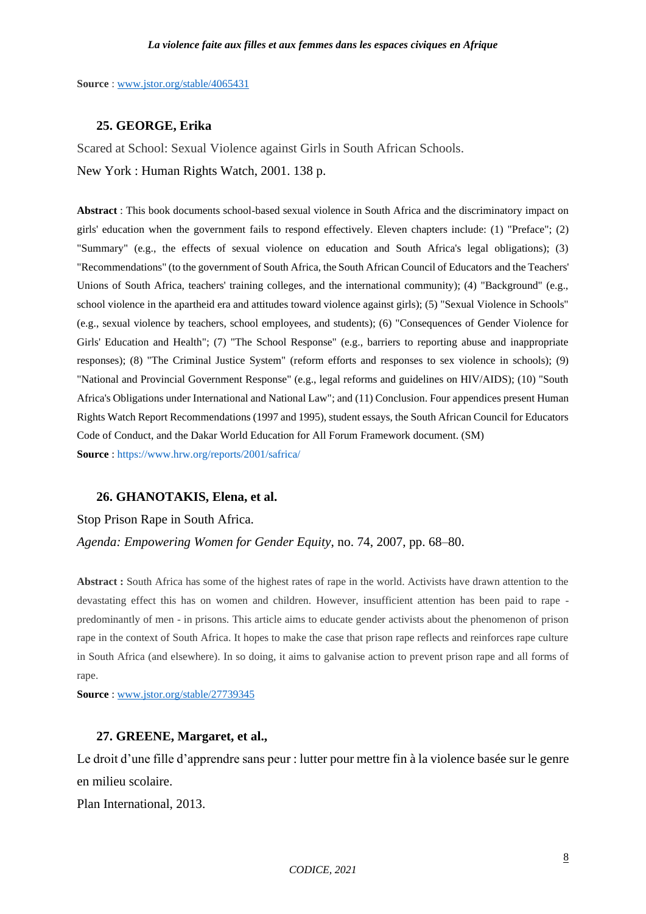**Source** : [www.jstor.org/stable/4065431](http://www.jstor.org/stable/4065431)

### **25. GEORGE, Erika**

Scared at School: Sexual Violence against Girls in South African Schools. New York : Human Rights Watch, 2001. 138 p.

**Abstract** : This book documents school-based sexual violence in South Africa and the discriminatory impact on girls' education when the government fails to respond effectively. Eleven chapters include: (1) "Preface"; (2) "Summary" (e.g., the effects of sexual violence on education and South Africa's legal obligations); (3) "Recommendations" (to the government of South Africa, the South African Council of Educators and the Teachers' Unions of South Africa, teachers' training colleges, and the international community); (4) "Background" (e.g., school violence in the apartheid era and attitudes toward violence against girls); (5) "Sexual Violence in Schools" (e.g., sexual violence by teachers, school employees, and students); (6) "Consequences of Gender Violence for Girls' Education and Health"; (7) "The School Response" (e.g., barriers to reporting abuse and inappropriate responses); (8) "The Criminal Justice System" (reform efforts and responses to sex violence in schools); (9) "National and Provincial Government Response" (e.g., legal reforms and guidelines on HIV/AIDS); (10) "South Africa's Obligations under International and National Law"; and (11) Conclusion. Four appendices present Human Rights Watch Report Recommendations (1997 and 1995), student essays, the South African Council for Educators Code of Conduct, and the Dakar World Education for All Forum Framework document. (SM) **Source** :<https://www.hrw.org/reports/2001/safrica/>

# **26. GHANOTAKIS, Elena, et al.**

Stop Prison Rape in South Africa.

*Agenda: Empowering Women for Gender Equity*, no. 74, 2007, pp. 68–80.

**Abstract :** South Africa has some of the highest rates of rape in the world. Activists have drawn attention to the devastating effect this has on women and children. However, insufficient attention has been paid to rape predominantly of men - in prisons. This article aims to educate gender activists about the phenomenon of prison rape in the context of South Africa. It hopes to make the case that prison rape reflects and reinforces rape culture in South Africa (and elsewhere). In so doing, it aims to galvanise action to prevent prison rape and all forms of rape.

**Source** : [www.jstor.org/stable/27739345](http://www.jstor.org/stable/27739345)

#### **27. GREENE, Margaret, et al.,**

Le droit d'une fille d'apprendre sans peur : lutter pour mettre fin à la violence basée sur le genre en milieu scolaire.

Plan International, 2013.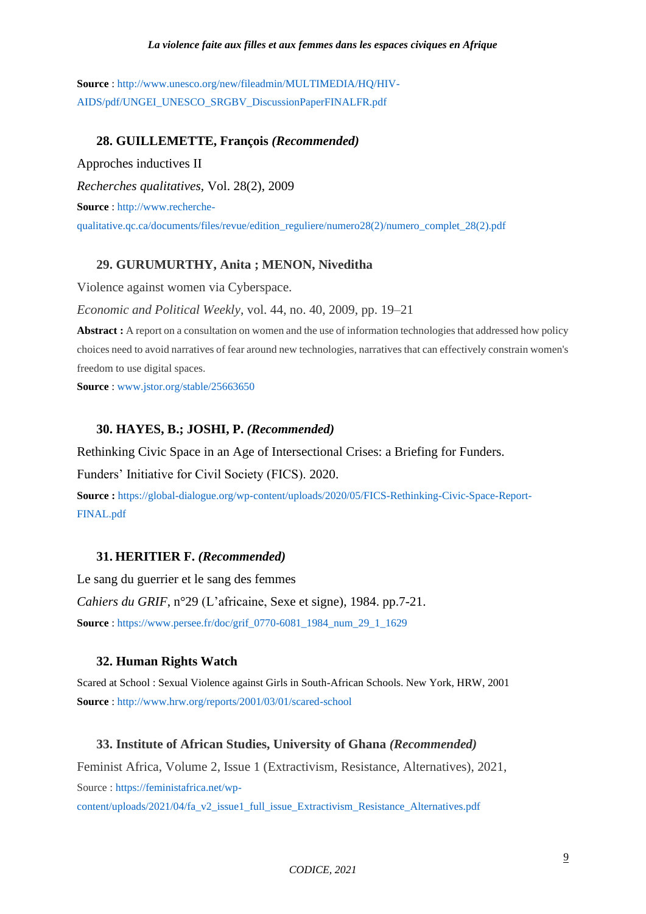**Source** : [http://www.unesco.org/new/fileadmin/MULTIMEDIA/HQ/HIV-](http://www.unesco.org/new/fileadmin/MULTIMEDIA/HQ/HIV-AIDS/pdf/UNGEI_UNESCO_SRGBV_DiscussionPaperFINALFR.pdf)[AIDS/pdf/UNGEI\\_UNESCO\\_SRGBV\\_DiscussionPaperFINALFR.pdf](http://www.unesco.org/new/fileadmin/MULTIMEDIA/HQ/HIV-AIDS/pdf/UNGEI_UNESCO_SRGBV_DiscussionPaperFINALFR.pdf)

# **28. GUILLEMETTE, François** *(Recommended)*

Approches inductives II *Recherches qualitatives*, Vol. 28(2), 2009 **Source** : [http://www.recherche](http://www.recherche-qualitative.qc.ca/documents/files/revue/edition_reguliere/numero28(2)/numero_complet_28(2).pdf)[qualitative.qc.ca/documents/files/revue/edition\\_reguliere/numero28\(2\)/numero\\_complet\\_28\(2\).pdf](http://www.recherche-qualitative.qc.ca/documents/files/revue/edition_reguliere/numero28(2)/numero_complet_28(2).pdf)

# **29. GURUMURTHY, Anita ; MENON, Niveditha**

Violence against women via Cyberspace.

*Economic and Political Weekly*, vol. 44, no. 40, 2009, pp. 19–21

**Abstract :** A report on a consultation on women and the use of information technologies that addressed how policy choices need to avoid narratives of fear around new technologies, narratives that can effectively constrain women's freedom to use digital spaces.

**Source** : [www.jstor.org/stable/25663650](http://www.jstor.org/stable/25663650)

# **30. HAYES, B.; JOSHI, P.** *(Recommended)*

Rethinking Civic Space in an Age of Intersectional Crises: a Briefing for Funders.

Funders' Initiative for Civil Society (FICS). 2020.

**Source :** [https://global-dialogue.org/wp-content/uploads/2020/05/FICS-Rethinking-Civic-Space-Report-](https://global-dialogue.org/wp-content/uploads/2020/05/FICS-Rethinking-Civic-Space-Report-FINAL.pdf)[FINAL.pdf](https://global-dialogue.org/wp-content/uploads/2020/05/FICS-Rethinking-Civic-Space-Report-FINAL.pdf)

# **31. HERITIER F.** *(Recommended)*

Le sang du guerrier et le sang des femmes *Cahiers du GRIF*, n°29 (L'africaine, Sexe et signe), 1984. pp.7-21. **Source** : [https://www.persee.fr/doc/grif\\_0770-6081\\_1984\\_num\\_29\\_1\\_1629](https://www.persee.fr/doc/grif_0770-6081_1984_num_29_1_1629)

# **32. Human Rights Watch**

Scared at School : Sexual Violence against Girls in South-African Schools. New York, HRW, 2001 **Source** : <http://www.hrw.org/reports/2001/03/01/scared-school>

# **33. Institute of African Studies, University of Ghana** *(Recommended)*

Feminist Africa, Volume 2, Issue 1 (Extractivism, Resistance, Alternatives), 2021, Source [: https://feministafrica.net/wp](https://feministafrica.net/wp-content/uploads/2021/04/fa_v2_issue1_full_issue_Extractivism_Resistance_Alternatives.pdf)[content/uploads/2021/04/fa\\_v2\\_issue1\\_full\\_issue\\_Extractivism\\_Resistance\\_Alternatives.pdf](https://feministafrica.net/wp-content/uploads/2021/04/fa_v2_issue1_full_issue_Extractivism_Resistance_Alternatives.pdf)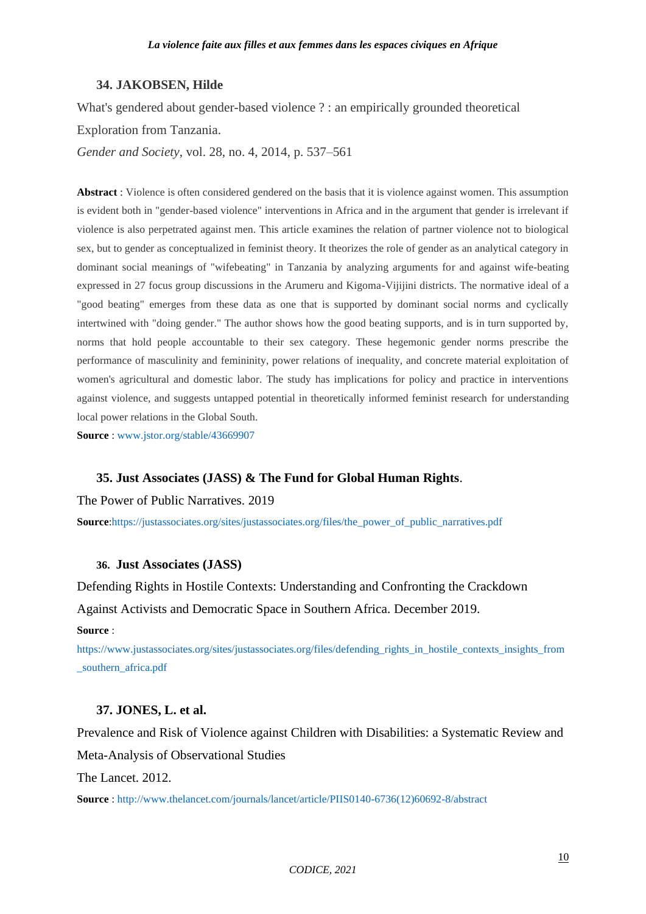#### **34. JAKOBSEN, Hilde**

What's gendered about gender-based violence ? : an empirically grounded theoretical Exploration from Tanzania.

*Gender and Society*, vol. 28, no. 4, 2014, p. 537–561

**Abstract** : Violence is often considered gendered on the basis that it is violence against women. This assumption is evident both in "gender-based violence" interventions in Africa and in the argument that gender is irrelevant if violence is also perpetrated against men. This article examines the relation of partner violence not to biological sex, but to gender as conceptualized in feminist theory. It theorizes the role of gender as an analytical category in dominant social meanings of "wifebeating" in Tanzania by analyzing arguments for and against wife-beating expressed in 27 focus group discussions in the Arumeru and Kigoma-Vijijini districts. The normative ideal of a "good beating" emerges from these data as one that is supported by dominant social norms and cyclically intertwined with "doing gender." The author shows how the good beating supports, and is in turn supported by, norms that hold people accountable to their sex category. These hegemonic gender norms prescribe the performance of masculinity and femininity, power relations of inequality, and concrete material exploitation of women's agricultural and domestic labor. The study has implications for policy and practice in interventions against violence, and suggests untapped potential in theoretically informed feminist research for understanding local power relations in the Global South.

**Source** : [www.jstor.org/stable/43669907](http://www.jstor.org/stable/43669907)

# **35. Just Associates (JASS) & The Fund for Global Human Rights**.

The Power of Public Narratives. 2019

**Source:**https://justassociates.org/sites/justassociates.org/files/the\_power\_of\_public\_narratives.pdf

## **36. Just Associates (JASS)**

Defending Rights in Hostile Contexts: Understanding and Confronting the Crackdown Against Activists and Democratic Space in Southern Africa. December 2019. **Source** :

[https://www.justassociates.org/sites/justassociates.org/files/defending\\_rights\\_in\\_hostile\\_contexts\\_insights\\_from](https://www.justassociates.org/sites/justassociates.org/files/defending_rights_in_hostile_contexts_insights_from_southern_africa.pdf) [\\_southern\\_africa.pdf](https://www.justassociates.org/sites/justassociates.org/files/defending_rights_in_hostile_contexts_insights_from_southern_africa.pdf)

## **37. JONES, L. et al.**

Prevalence and Risk of Violence against Children with Disabilities: a Systematic Review and Meta-Analysis of Observational Studies

The Lancet. 2012.

**Source** : [http://www.thelancet.com/journals/lancet/article/PIIS0140-6736\(12\)60692-8/abstract](http://www.thelancet.com/journals/lancet/article/PIIS0140-6736(12)60692-8/abstract)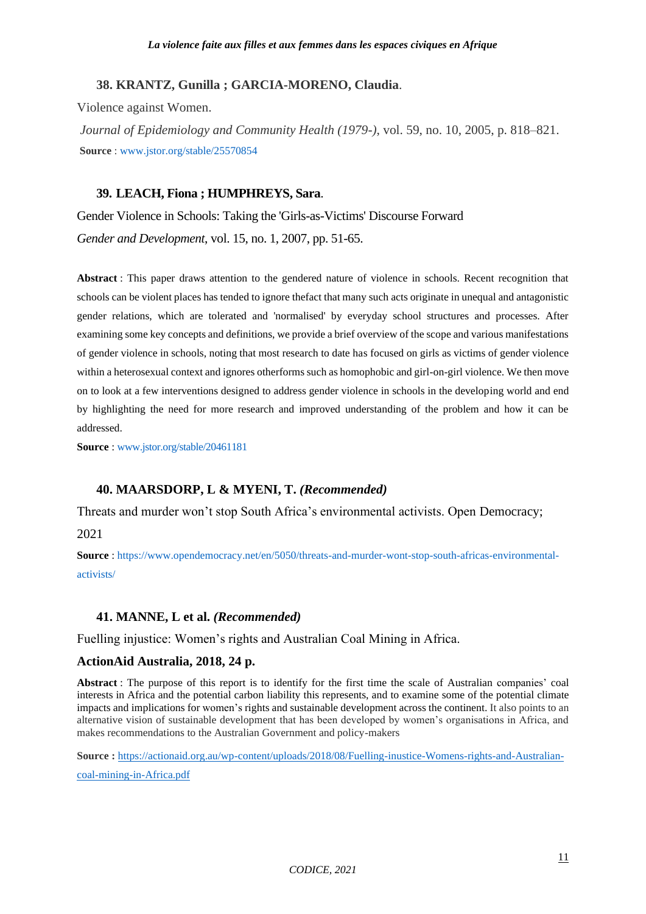# **38. KRANTZ, Gunilla ; GARCIA-MORENO, Claudia**.

Violence against Women.

*Journal of Epidemiology and Community Health (1979-)*, vol. 59, no. 10, 2005, p. 818–821. **Source** [: www.jstor.org/stable/25570854](http://www.jstor.org/stable/25570854)

# **39. LEACH, Fiona ; HUMPHREYS, Sara**.

Gender Violence in Schools: Taking the 'Girls-as-Victims' Discourse Forward *Gender and Development*, vol. 15, no. 1, 2007, pp. 51-65.

**Abstract** : This paper draws attention to the gendered nature of violence in schools. Recent recognition that schools can be violent places has tended to ignore thefact that many such acts originate in unequal and antagonistic gender relations, which are tolerated and 'normalised' by everyday school structures and processes. After examining some key concepts and definitions, we provide a brief overview of the scope and various manifestations of gender violence in schools, noting that most research to date has focused on girls as victims of gender violence within a heterosexual context and ignores otherforms such as homophobic and girl-on-girl violence. We then move on to look at a few interventions designed to address gender violence in schools in the developing world and end by highlighting the need for more research and improved understanding of the problem and how it can be addressed.

**Source** : [www.jstor.org/stable/20461181](http://www.jstor.org/stable/20461181) 

# **40. MAARSDORP, L & MYENI, T.** *(Recommended)*

Threats and murder won't stop South Africa's environmental activists. Open Democracy;

2021

**Source** : [https://www.opendemocracy.net/en/5050/threats-and-murder-wont-stop-south-africas-environmental](https://www.opendemocracy.net/en/5050/threats-and-murder-wont-stop-south-africas-environmental-activists/)[activists/](https://www.opendemocracy.net/en/5050/threats-and-murder-wont-stop-south-africas-environmental-activists/)

# **41. MANNE, L et al.** *(Recommended)*

Fuelling injustice: Women's rights and Australian Coal Mining in Africa.

# **ActionAid Australia, 2018, 24 p.**

**Abstract** : The purpose of this report is to identify for the first time the scale of Australian companies' coal interests in Africa and the potential carbon liability this represents, and to examine some of the potential climate impacts and implications for women's rights and sustainable development across the continent. It also points to an alternative vision of sustainable development that has been developed by women's organisations in Africa, and makes recommendations to the Australian Government and policy-makers

**Source :** [https://actionaid.org.au/wp-content/uploads/2018/08/Fuelling-inustice-Womens-rights-and-Australian-](https://actionaid.org.au/wp-content/uploads/2018/08/Fuelling-inustice-Womens-rights-and-Australian-coal-mining-in-Africa.pdf)

[coal-mining-in-Africa.pdf](https://actionaid.org.au/wp-content/uploads/2018/08/Fuelling-inustice-Womens-rights-and-Australian-coal-mining-in-Africa.pdf)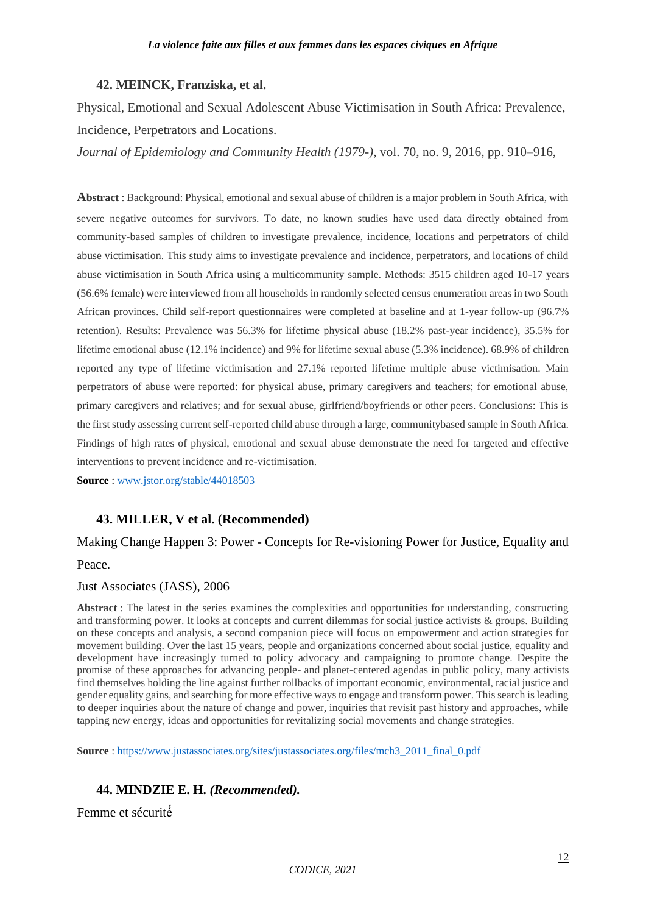## **42. MEINCK, Franziska, et al.**

Physical, Emotional and Sexual Adolescent Abuse Victimisation in South Africa: Prevalence, Incidence, Perpetrators and Locations.

*Journal of Epidemiology and Community Health (1979-)*, vol. 70, no. 9, 2016, pp. 910–916,

**Abstract** : Background: Physical, emotional and sexual abuse of children is a major problem in South Africa, with severe negative outcomes for survivors. To date, no known studies have used data directly obtained from community-based samples of children to investigate prevalence, incidence, locations and perpetrators of child abuse victimisation. This study aims to investigate prevalence and incidence, perpetrators, and locations of child abuse victimisation in South Africa using a multicommunity sample. Methods: 3515 children aged 10-17 years (56.6% female) were interviewed from all households in randomly selected census enumeration areas in two South African provinces. Child self-report questionnaires were completed at baseline and at 1-year follow-up (96.7% retention). Results: Prevalence was 56.3% for lifetime physical abuse (18.2% past-year incidence), 35.5% for lifetime emotional abuse (12.1% incidence) and 9% for lifetime sexual abuse (5.3% incidence). 68.9% of children reported any type of lifetime victimisation and 27.1% reported lifetime multiple abuse victimisation. Main perpetrators of abuse were reported: for physical abuse, primary caregivers and teachers; for emotional abuse, primary caregivers and relatives; and for sexual abuse, girlfriend/boyfriends or other peers. Conclusions: This is the first study assessing current self-reported child abuse through a large, communitybased sample in South Africa. Findings of high rates of physical, emotional and sexual abuse demonstrate the need for targeted and effective interventions to prevent incidence and re-victimisation.

**Source** : [www.jstor.org/stable/44018503](http://www.jstor.org/stable/44018503)

# **43. MILLER, V et al. (Recommended)**

# Making Change Happen 3: Power - Concepts for Re-visioning Power for Justice, Equality and Peace.

## Just Associates (JASS), 2006

**Abstract** : The latest in the series examines the complexities and opportunities for understanding, constructing and transforming power. It looks at concepts and current dilemmas for social justice activists & groups. Building on these concepts and analysis, a second companion piece will focus on empowerment and action strategies for movement building. Over the last 15 years, people and organizations concerned about social justice, equality and development have increasingly turned to policy advocacy and campaigning to promote change. Despite the promise of these approaches for advancing people- and planet-centered agendas in public policy, many activists find themselves holding the line against further rollbacks of important economic, environmental, racial justice and gender equality gains, and searching for more effective ways to engage and transform power. This search is leading to deeper inquiries about the nature of change and power, inquiries that revisit past history and approaches, while tapping new energy, ideas and opportunities for revitalizing social movements and change strategies.

**Source**: [https://www.justassociates.org/sites/justassociates.org/files/mch3\\_2011\\_final\\_0.pdf](https://www.justassociates.org/sites/justassociates.org/files/mch3_2011_final_0.pdf)

# **44. MINDZIE E. H.** *(Recommended).*

Femme et sécurité́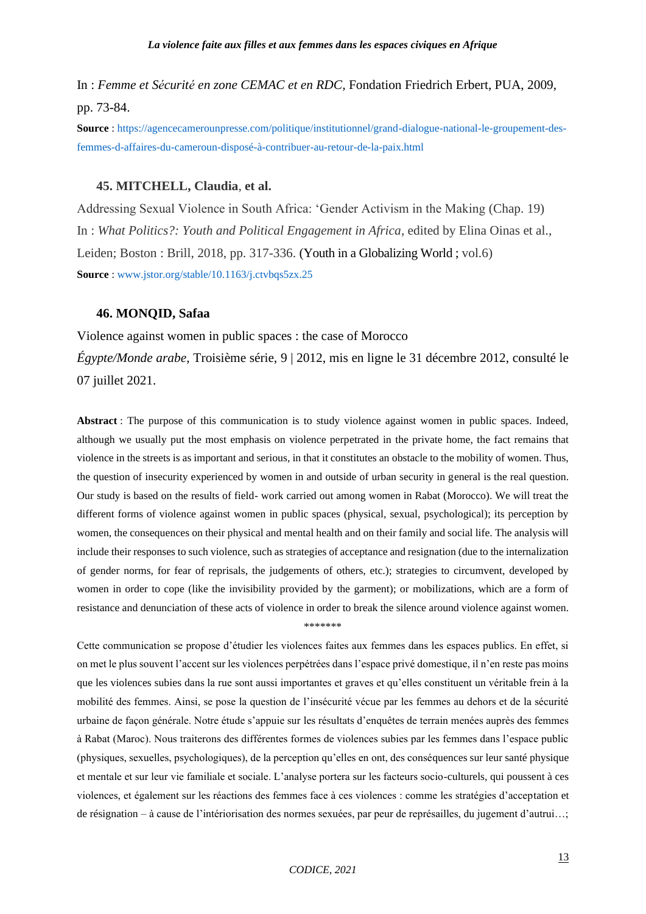In : *Femme et Sécurité en zone CEMAC et en RDC,* Fondation Friedrich Erbert, PUA, 2009, pp. 73-84.

**Source** : [https://agencecamerounpresse.com/politique/institutionnel/grand-dialogue-national-le-groupement-des](https://agencecamerounpresse.com/politique/institutionnel/grand-dialogue-national-le-groupement-des-femmes-d-affaires-du-cameroun-disposé-à-contribuer-au-retour-de-la-paix.html)[femmes-d-affaires-du-cameroun-disposé-à-contribuer-au-retour-de-la-paix.html](https://agencecamerounpresse.com/politique/institutionnel/grand-dialogue-national-le-groupement-des-femmes-d-affaires-du-cameroun-disposé-à-contribuer-au-retour-de-la-paix.html)

## **45. MITCHELL, Claudia**, **et al.**

Addressing Sexual Violence in South Africa: 'Gender Activism in the Making (Chap. 19) In : *What Politics?: Youth and Political Engagement in Africa*, edited by Elina Oinas et al., Leiden; Boston : Brill, 2018, pp. 317-336. (Youth in a Globalizing World ; vol.6) **Source** : [www.jstor.org/stable/10.1163/j.ctvbqs5zx.25](http://www.jstor.org/stable/10.1163/j.ctvbqs5zx.25)

#### **46. MONQID, Safaa**

Violence against women in public spaces : the case of Morocco *Égypte/Monde arabe*, Troisième série, 9 | 2012, mis en ligne le 31 décembre 2012, consulté le 07 juillet 2021.

**Abstract** : The purpose of this communication is to study violence against women in public spaces. Indeed, although we usually put the most emphasis on violence perpetrated in the private home, the fact remains that violence in the streets is as important and serious, in that it constitutes an obstacle to the mobility of women. Thus, the question of insecurity experienced by women in and outside of urban security in general is the real question. Our study is based on the results of field- work carried out among women in Rabat (Morocco). We will treat the different forms of violence against women in public spaces (physical, sexual, psychological); its perception by women, the consequences on their physical and mental health and on their family and social life. The analysis will include their responses to such violence, such as strategies of acceptance and resignation (due to the internalization of gender norms, for fear of reprisals, the judgements of others, etc.); strategies to circumvent, developed by women in order to cope (like the invisibility provided by the garment); or mobilizations, which are a form of resistance and denunciation of these acts of violence in order to break the silence around violence against women.

\*\*\*\*\*\*\*

Cette communication se propose d'étudier les violences faites aux femmes dans les espaces publics. En effet, si on met le plus souvent l'accent sur les violences perpétrées dans l'espace privé domestique, il n'en reste pas moins que les violences subies dans la rue sont aussi importantes et graves et qu'elles constituent un véritable frein à la mobilité des femmes. Ainsi, se pose la question de l'insécurité vécue par les femmes au dehors et de la sécurité urbaine de façon générale. Notre étude s'appuie sur les résultats d'enquêtes de terrain menées auprès des femmes à Rabat (Maroc). Nous traiterons des différentes formes de violences subies par les femmes dans l'espace public (physiques, sexuelles, psychologiques), de la perception qu'elles en ont, des conséquences sur leur santé physique et mentale et sur leur vie familiale et sociale. L'analyse portera sur les facteurs socio-culturels, qui poussent à ces violences, et également sur les réactions des femmes face à ces violences : comme les stratégies d'acceptation et de résignation – à cause de l'intériorisation des normes sexuées, par peur de représailles, du jugement d'autrui…;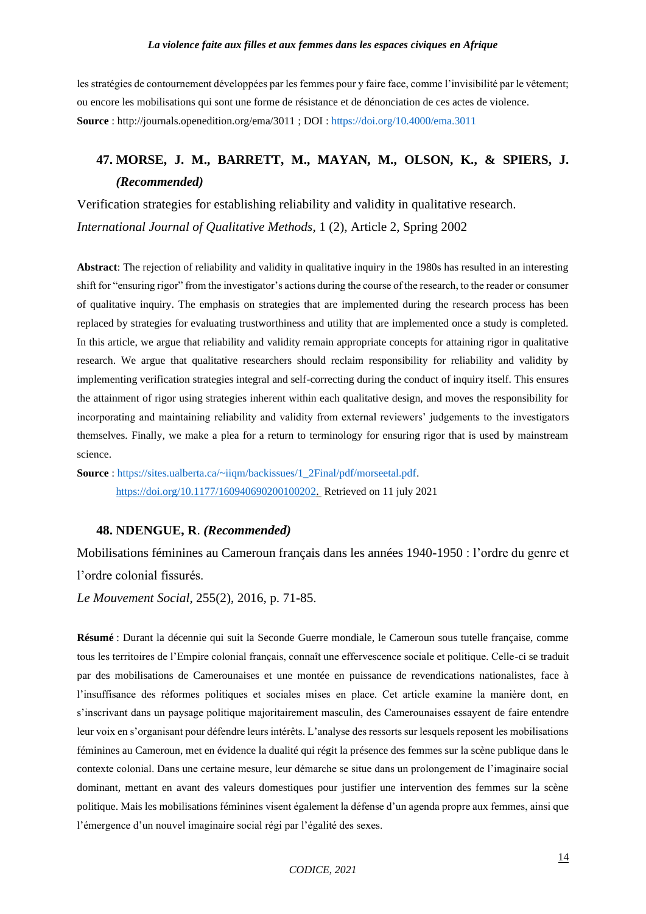les stratégies de contournement développées par les femmes pour y faire face, comme l'invisibilité par le vêtement; ou encore les mobilisations qui sont une forme de résistance et de dénonciation de ces actes de violence. **Source** : http://journals.openedition.org/ema/3011 ; DOI [: https://doi.org/10.4000/ema.3011](https://doi.org/10.4000/ema.3011)

# **47. MORSE, J. M., BARRETT, M., MAYAN, M., OLSON, K., & SPIERS, J.** *(Recommended)*

Verification strategies for establishing reliability and validity in qualitative research. *International Journal of Qualitative Methods*, 1 (2), Article 2, Spring 2002

**Abstract**: The rejection of reliability and validity in qualitative inquiry in the 1980s has resulted in an interesting shift for "ensuring rigor" from the investigator's actions during the course of the research, to the reader or consumer of qualitative inquiry. The emphasis on strategies that are implemented during the research process has been replaced by strategies for evaluating trustworthiness and utility that are implemented once a study is completed. In this article, we argue that reliability and validity remain appropriate concepts for attaining rigor in qualitative research. We argue that qualitative researchers should reclaim responsibility for reliability and validity by implementing verification strategies integral and self-correcting during the conduct of inquiry itself. This ensures the attainment of rigor using strategies inherent within each qualitative design, and moves the responsibility for incorporating and maintaining reliability and validity from external reviewers' judgements to the investigators themselves. Finally, we make a plea for a return to terminology for ensuring rigor that is used by mainstream science.

**Source** : [https://sites.ualberta.ca/~iiqm/backissues/1\\_2Final/pdf/morseetal.pdf.](https://sites.ualberta.ca/~iiqm/backissues/1_2Final/pdf/morseetal.pdf) [https://doi.org/10.1177/160940690200100202.](https://doi.org/10.1177/160940690200100202) Retrieved on 11 july 2021

#### **48. NDENGUE, R**. *(Recommended)*

Mobilisations féminines au Cameroun français dans les années 1940-1950 : l'ordre du genre et l'ordre colonial fissurés.

*Le Mouvement Social*, 255(2), 2016, p. 71-85.

**Résumé** : Durant la décennie qui suit la Seconde Guerre mondiale, le Cameroun sous tutelle française, comme tous les territoires de l'Empire colonial français, connaît une effervescence sociale et politique. Celle-ci se traduit par des mobilisations de Camerounaises et une montée en puissance de revendications nationalistes, face à l'insuffisance des réformes politiques et sociales mises en place. Cet article examine la manière dont, en s'inscrivant dans un paysage politique majoritairement masculin, des Camerounaises essayent de faire entendre leur voix en s'organisant pour défendre leurs intérêts. L'analyse des ressorts sur lesquels reposent les mobilisations féminines au Cameroun, met en évidence la dualité qui régit la présence des femmes sur la scène publique dans le contexte colonial. Dans une certaine mesure, leur démarche se situe dans un prolongement de l'imaginaire social dominant, mettant en avant des valeurs domestiques pour justifier une intervention des femmes sur la scène politique. Mais les mobilisations féminines visent également la défense d'un agenda propre aux femmes, ainsi que l'émergence d'un nouvel imaginaire social régi par l'égalité des sexes.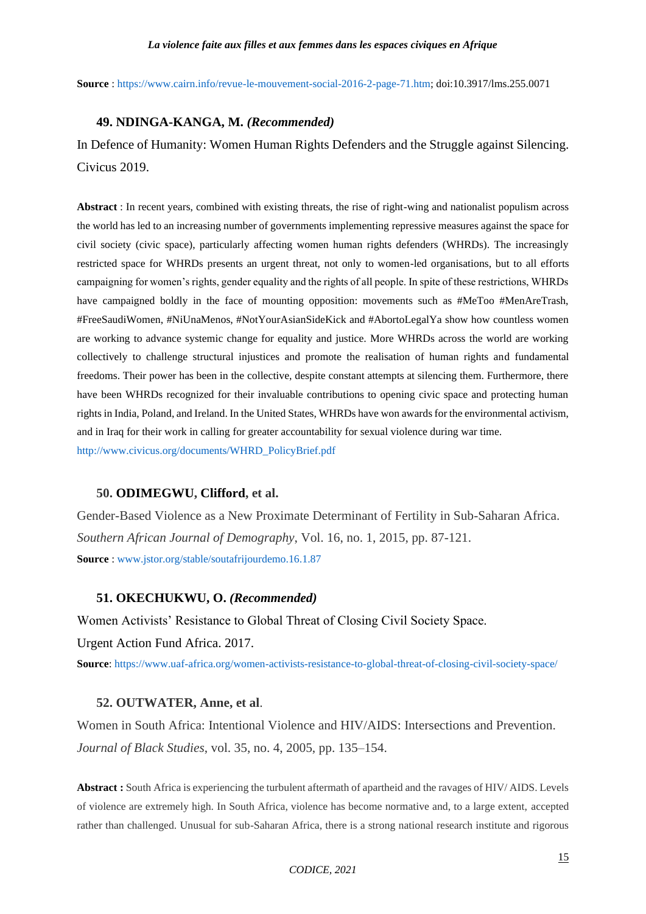**Source** : [https://www.cairn.info/revue-le-mouvement-social-2016-2-page-71.htm;](https://www.cairn.info/revue-le-mouvement-social-2016-2-page-71.htm) doi:10.3917/lms.255.0071

## **49. NDINGA-KANGA, M.** *(Recommended)*

In Defence of Humanity: Women Human Rights Defenders and the Struggle against Silencing. Civicus 2019.

**Abstract** : In recent years, combined with existing threats, the rise of right-wing and nationalist populism across the world has led to an increasing number of governments implementing repressive measures against the space for civil society (civic space), particularly affecting women human rights defenders (WHRDs). The increasingly restricted space for WHRDs presents an urgent threat, not only to women-led organisations, but to all efforts campaigning for women's rights, gender equality and the rights of all people. In spite of these restrictions, WHRDs have campaigned boldly in the face of mounting opposition: movements such as #MeToo #MenAreTrash, #FreeSaudiWomen, #NiUnaMenos, #NotYourAsianSideKick and #AbortoLegalYa show how countless women are working to advance systemic change for equality and justice. More WHRDs across the world are working collectively to challenge structural injustices and promote the realisation of human rights and fundamental freedoms. Their power has been in the collective, despite constant attempts at silencing them. Furthermore, there have been WHRDs recognized for their invaluable contributions to opening civic space and protecting human rights in India, Poland, and Ireland. In the United States, WHRDs have won awards for the environmental activism, and in Iraq for their work in calling for greater accountability for sexual violence during war time. [http://www.civicus.org/documents/WHRD\\_PolicyBrief.pdf](http://www.civicus.org/documents/WHRD_PolicyBrief.pdf)

## **50. ODIMEGWU, Clifford, et al.**

Gender-Based Violence as a New Proximate Determinant of Fertility in Sub-Saharan Africa. *Southern African Journal of Demography*, Vol. 16, no. 1, 2015, pp. 87-121. **Source** : [www.jstor.org/stable/soutafrijourdemo.16.1.87](http://www.jstor.org/stable/soutafrijourdemo.16.1.87)

#### **51. OKECHUKWU, O.** *(Recommended)*

Women Activists' Resistance to Global Threat of Closing Civil Society Space. Urgent Action Fund Africa. 2017.

**Source**[: https://www.uaf-africa.org/women-activists-resistance-to-global-threat-of-closing-civil-society-space/](https://www.uaf-africa.org/women-activists-resistance-to-global-threat-of-closing-civil-society-space/)

#### **52. OUTWATER, Anne, et al**.

Women in South Africa: Intentional Violence and HIV/AIDS: Intersections and Prevention. *Journal of Black Studies*, vol. 35, no. 4, 2005, pp. 135–154.

**Abstract :** South Africa is experiencing the turbulent aftermath of apartheid and the ravages of HIV/ AIDS. Levels of violence are extremely high. In South Africa, violence has become normative and, to a large extent, accepted rather than challenged. Unusual for sub-Saharan Africa, there is a strong national research institute and rigorous

*CODICE, 2021*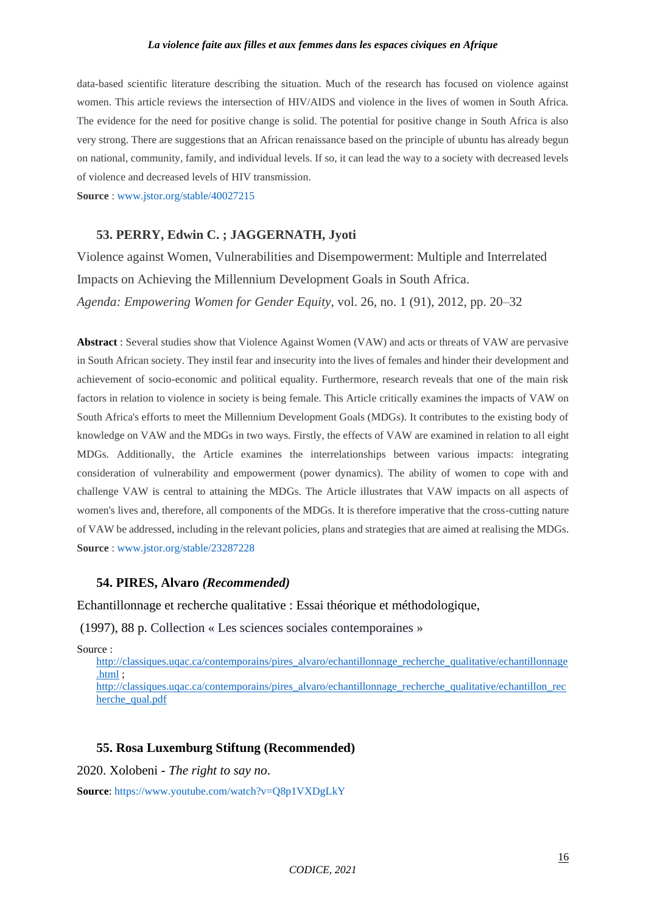data-based scientific literature describing the situation. Much of the research has focused on violence against women. This article reviews the intersection of HIV/AIDS and violence in the lives of women in South Africa. The evidence for the need for positive change is solid. The potential for positive change in South Africa is also very strong. There are suggestions that an African renaissance based on the principle of ubuntu has already begun on national, community, family, and individual levels. If so, it can lead the way to a society with decreased levels of violence and decreased levels of HIV transmission.

**Source** : [www.jstor.org/stable/40027215](http://www.jstor.org/stable/40027215)

## **53. PERRY, Edwin C. ; JAGGERNATH, Jyoti**

Violence against Women, Vulnerabilities and Disempowerment: Multiple and Interrelated Impacts on Achieving the Millennium Development Goals in South Africa. *Agenda: Empowering Women for Gender Equity*, vol. 26, no. 1 (91), 2012, pp. 20–32

**Abstract** : Several studies show that Violence Against Women (VAW) and acts or threats of VAW are pervasive in South African society. They instil fear and insecurity into the lives of females and hinder their development and achievement of socio-economic and political equality. Furthermore, research reveals that one of the main risk factors in relation to violence in society is being female. This Article critically examines the impacts of VAW on South Africa's efforts to meet the Millennium Development Goals (MDGs). It contributes to the existing body of knowledge on VAW and the MDGs in two ways. Firstly, the effects of VAW are examined in relation to all eight MDGs. Additionally, the Article examines the interrelationships between various impacts: integrating consideration of vulnerability and empowerment (power dynamics). The ability of women to cope with and challenge VAW is central to attaining the MDGs. The Article illustrates that VAW impacts on all aspects of women's lives and, therefore, all components of the MDGs. It is therefore imperative that the cross-cutting nature of VAW be addressed, including in the relevant policies, plans and strategies that are aimed at realising the MDGs. **Source** : [www.jstor.org/stable/23287228](http://www.jstor.org/stable/23287228)

#### **54. PIRES, Alvaro** *(Recommended)*

Echantillonnage et recherche qualitative : Essai théorique et méthodologique,

(1997), 88 p. Collection « Les sciences sociales contemporaines »

Source :

[http://classiques.uqac.ca/contemporains/pires\\_alvaro/echantillonnage\\_recherche\\_qualitative/echantillonnage](http://classiques.uqac.ca/contemporains/pires_alvaro/echantillonnage_recherche_qualitative/echantillonnage.html) . $html$ ;

[http://classiques.uqac.ca/contemporains/pires\\_alvaro/echantillonnage\\_recherche\\_qualitative/echantillon\\_rec](http://classiques.uqac.ca/contemporains/pires_alvaro/echantillonnage_recherche_qualitative/echantillon_recherche_qual.pdf) [herche\\_qual.pdf](http://classiques.uqac.ca/contemporains/pires_alvaro/echantillonnage_recherche_qualitative/echantillon_recherche_qual.pdf)

### **55. Rosa Luxemburg Stiftung (Recommended)**

2020. Xolobeni - *The right to say no*.

**Source**[: https://www.youtube.com/watch?v=Q8p1VXDgLkY](https://www.youtube.com/watch?v=Q8p1VXDgLkY)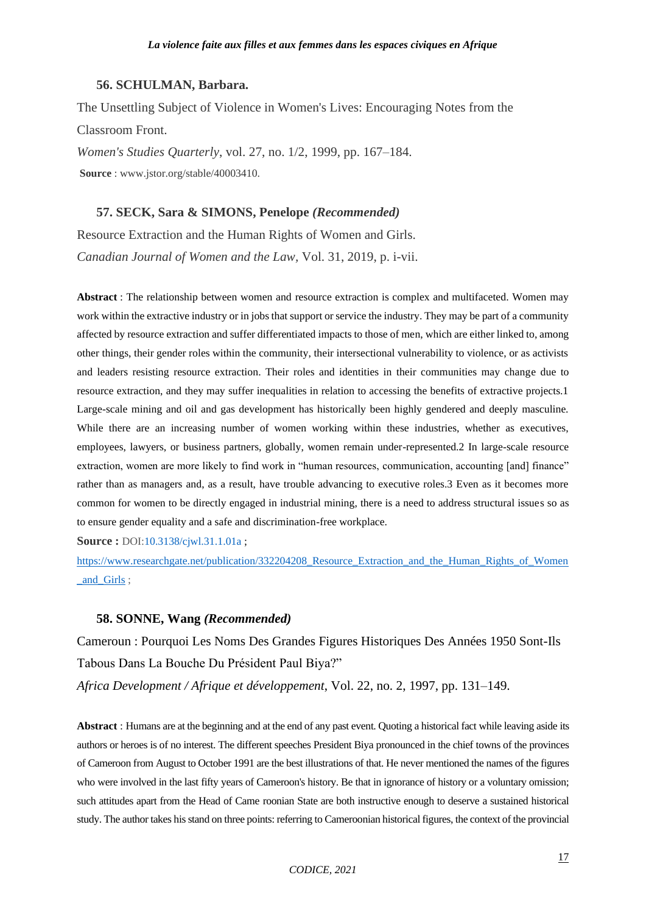#### **56. SCHULMAN, Barbara.**

The Unsettling Subject of Violence in Women's Lives: Encouraging Notes from the Classroom Front. *Women's Studies Quarterly*, vol. 27, no. 1/2, 1999, pp. 167–184. **Source** : www.jstor.org/stable/40003410.

#### **57. SECK, Sara & SIMONS, Penelope** *(Recommended)*

Resource Extraction and the Human Rights of Women and Girls. *Canadian Journal of Women and the Law,* Vol. 31, 2019, p. i-vii.

**Abstract** : The relationship between women and resource extraction is complex and multifaceted. Women may work within the extractive industry or in jobs that support or service the industry. They may be part of a community affected by resource extraction and suffer differentiated impacts to those of men, which are either linked to, among other things, their gender roles within the community, their intersectional vulnerability to violence, or as activists and leaders resisting resource extraction. Their roles and identities in their communities may change due to resource extraction, and they may suffer inequalities in relation to accessing the benefits of extractive projects.1 Large-scale mining and oil and gas development has historically been highly gendered and deeply masculine. While there are an increasing number of women working within these industries, whether as executives, employees, lawyers, or business partners, globally, women remain under-represented.2 In large-scale resource extraction, women are more likely to find work in "human resources, communication, accounting [and] finance" rather than as managers and, as a result, have trouble advancing to executive roles.3 Even as it becomes more common for women to be directly engaged in industrial mining, there is a need to address structural issues so as to ensure gender equality and a safe and discrimination-free workplace.

**Source :** DOI[:10.3138/cjwl.31.1.01a](http://dx.doi.org/10.3138/cjwl.31.1.01a) ;

[https://www.researchgate.net/publication/332204208\\_Resource\\_Extraction\\_and\\_the\\_Human\\_Rights\\_of\\_Women](https://www.researchgate.net/publication/332204208_Resource_Extraction_and_the_Human_Rights_of_Women_and_Girls) and Girls ;

#### **58. SONNE, Wang** *(Recommended)*

Cameroun : Pourquoi Les Noms Des Grandes Figures Historiques Des Années 1950 Sont-Ils Tabous Dans La Bouche Du Président Paul Biya?"

*Africa Development / Afrique et développement*, Vol. 22, no. 2, 1997, pp. 131–149.

**Abstract** : Humans are at the beginning and at the end of any past event. Quoting a historical fact while leaving aside its authors or heroes is of no interest. The different speeches President Biya pronounced in the chief towns of the provinces of Cameroon from August to October 1991 are the best illustrations of that. He never mentioned the names of the figures who were involved in the last fifty years of Cameroon's history. Be that in ignorance of history or a voluntary omission; such attitudes apart from the Head of Came roonian State are both instructive enough to deserve a sustained historical study. The author takes his stand on three points: referring to Cameroonian historical figures, the context of the provincial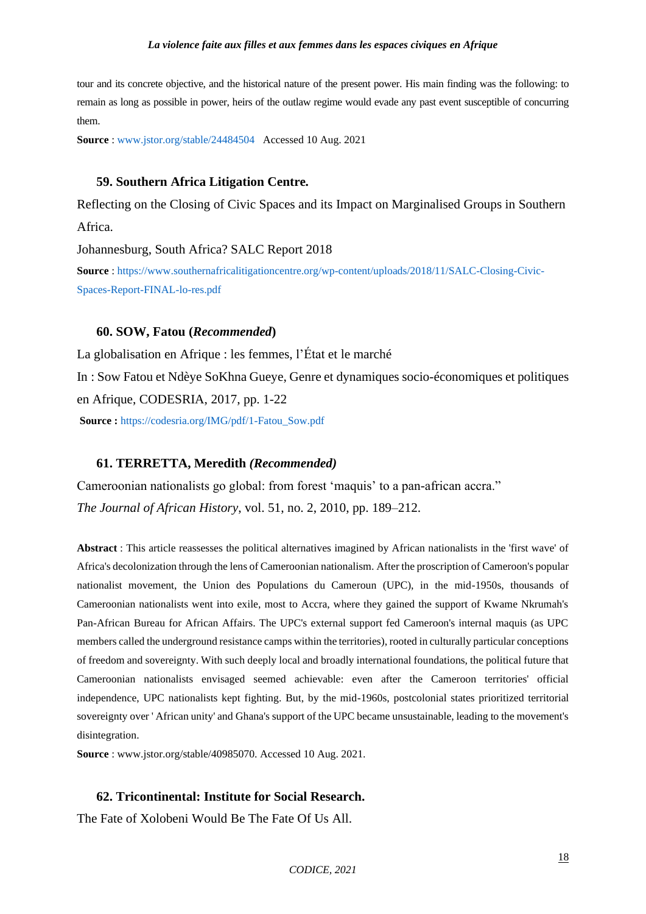tour and its concrete objective, and the historical nature of the present power. His main finding was the following: to remain as long as possible in power, heirs of the outlaw regime would evade any past event susceptible of concurring them.

**Source** : [www.jstor.org/stable/24484504](http://www.jstor.org/stable/24484504) Accessed 10 Aug. 2021

### **59. Southern Africa Litigation Centre***.*

Reflecting on the Closing of Civic Spaces and its Impact on Marginalised Groups in Southern Africa.

Johannesburg, South Africa? SALC Report 2018

**Source** : [https://www.southernafricalitigationcentre.org/wp-content/uploads/2018/11/SALC-Closing-Civic-](https://www.southernafricalitigationcentre.org/wp-content/uploads/2018/11/SALC-Closing-Civic-Spaces-Report-FINAL-lo-res.pdf)[Spaces-Report-FINAL-lo-res.pdf](https://www.southernafricalitigationcentre.org/wp-content/uploads/2018/11/SALC-Closing-Civic-Spaces-Report-FINAL-lo-res.pdf)

## **60. SOW, Fatou (***Recommended***)**

La [globalisation](http://www.genreenaction.net/IMG/pdf/1-Fatou_Sow-1.pdf) en Afrique : les femmes, l'État et le marché In : Sow Fatou et Ndèye SoKhna Gueye, Genre et dynamiques socio-économiques et politiques en Afrique, CODESRIA, 2017, pp. 1-22 **Source :** [https://codesria.org/IMG/pdf/1-Fatou\\_Sow.pdf](https://codesria.org/IMG/pdf/1-Fatou_Sow.pdf)

#### **61. TERRETTA, Meredith** *(Recommended)*

Cameroonian nationalists go global: from forest 'maquis' to a pan-african accra." *The Journal of African History*, vol. 51, no. 2, 2010, pp. 189–212.

**Abstract** : This article reassesses the political alternatives imagined by African nationalists in the 'first wave' of Africa's decolonization through the lens of Cameroonian nationalism. After the proscription of Cameroon's popular nationalist movement, the Union des Populations du Cameroun (UPC), in the mid-1950s, thousands of Cameroonian nationalists went into exile, most to Accra, where they gained the support of Kwame Nkrumah's Pan-African Bureau for African Affairs. The UPC's external support fed Cameroon's internal maquis (as UPC members called the underground resistance camps within the territories), rooted in culturally particular conceptions of freedom and sovereignty. With such deeply local and broadly international foundations, the political future that Cameroonian nationalists envisaged seemed achievable: even after the Cameroon territories' official independence, UPC nationalists kept fighting. But, by the mid-1960s, postcolonial states prioritized territorial sovereignty over ' African unity' and Ghana's support of the UPC became unsustainable, leading to the movement's disintegration.

**Source** : www.jstor.org/stable/40985070. Accessed 10 Aug. 2021.

## **62. Tricontinental: Institute for Social Research.**

The Fate of Xolobeni Would Be The Fate Of Us All.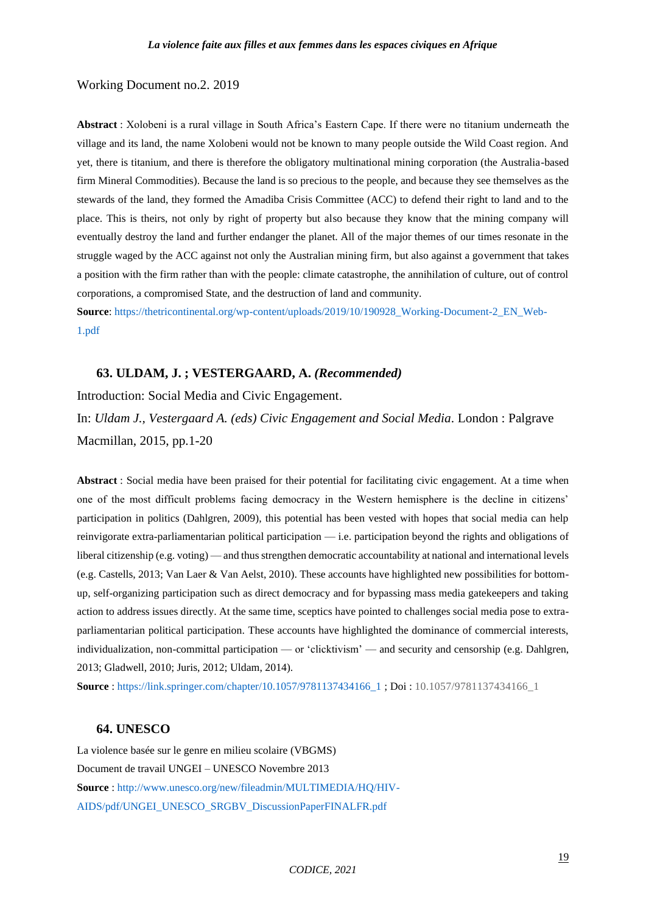#### Working Document no.2. 2019

**Abstract** : Xolobeni is a rural village in South Africa's Eastern Cape. If there were no titanium underneath the village and its land, the name Xolobeni would not be known to many people outside the Wild Coast region. And yet, there is titanium, and there is therefore the obligatory multinational mining corporation (the Australia-based firm Mineral Commodities). Because the land is so precious to the people, and because they see themselves as the stewards of the land, they formed the Amadiba Crisis Committee (ACC) to defend their right to land and to the place. This is theirs, not only by right of property but also because they know that the mining company will eventually destroy the land and further endanger the planet. All of the major themes of our times resonate in the struggle waged by the ACC against not only the Australian mining firm, but also against a government that takes a position with the firm rather than with the people: climate catastrophe, the annihilation of culture, out of control corporations, a compromised State, and the destruction of land and community.

**Source**[: https://thetricontinental.org/wp-content/uploads/2019/10/190928\\_Working-Document-2\\_EN\\_Web-](https://thetricontinental.org/wp-content/uploads/2019/10/190928_Working-Document-2_EN_Web-1.pdf)[1.pdf](https://thetricontinental.org/wp-content/uploads/2019/10/190928_Working-Document-2_EN_Web-1.pdf)

#### **63. ULDAM, J. ; VESTERGAARD, A.** *(Recommended)*

Introduction: Social Media and Civic Engagement.

In: *Uldam J., Vestergaard A. (eds) Civic Engagement and Social Media*. London : Palgrave Macmillan, 2015, pp.1-20

**Abstract** : Social media have been praised for their potential for facilitating civic engagement. At a time when one of the most difficult problems facing democracy in the Western hemisphere is the decline in citizens' participation in politics (Dahlgren, 2009), this potential has been vested with hopes that social media can help reinvigorate extra-parliamentarian political participation — i.e. participation beyond the rights and obligations of liberal citizenship (e.g. voting) — and thus strengthen democratic accountability at national and international levels (e.g. Castells, 2013; Van Laer & Van Aelst, 2010). These accounts have highlighted new possibilities for bottomup, self-organizing participation such as direct democracy and for bypassing mass media gatekeepers and taking action to address issues directly. At the same time, sceptics have pointed to challenges social media pose to extraparliamentarian political participation. These accounts have highlighted the dominance of commercial interests, individualization, non-committal participation — or 'clicktivism' — and security and censorship (e.g. Dahlgren, 2013; Gladwell, 2010; Juris, 2012; Uldam, 2014).

**Source** : [https://link.springer.com/chapter/10.1057/9781137434166\\_1](https://link.springer.com/chapter/10.1057/9781137434166_1) ; Doi : 10.1057/9781137434166\_1

#### **64. UNESCO**

La violence basée sur le genre en milieu scolaire (VBGMS) Document de travail UNGEI – UNESCO Novembre 2013 **Source** : [http://www.unesco.org/new/fileadmin/MULTIMEDIA/HQ/HIV-](http://www.unesco.org/new/fileadmin/MULTIMEDIA/HQ/HIV-AIDS/pdf/UNGEI_UNESCO_SRGBV_DiscussionPaperFINALFR.pdf)[AIDS/pdf/UNGEI\\_UNESCO\\_SRGBV\\_DiscussionPaperFINALFR.pdf](http://www.unesco.org/new/fileadmin/MULTIMEDIA/HQ/HIV-AIDS/pdf/UNGEI_UNESCO_SRGBV_DiscussionPaperFINALFR.pdf)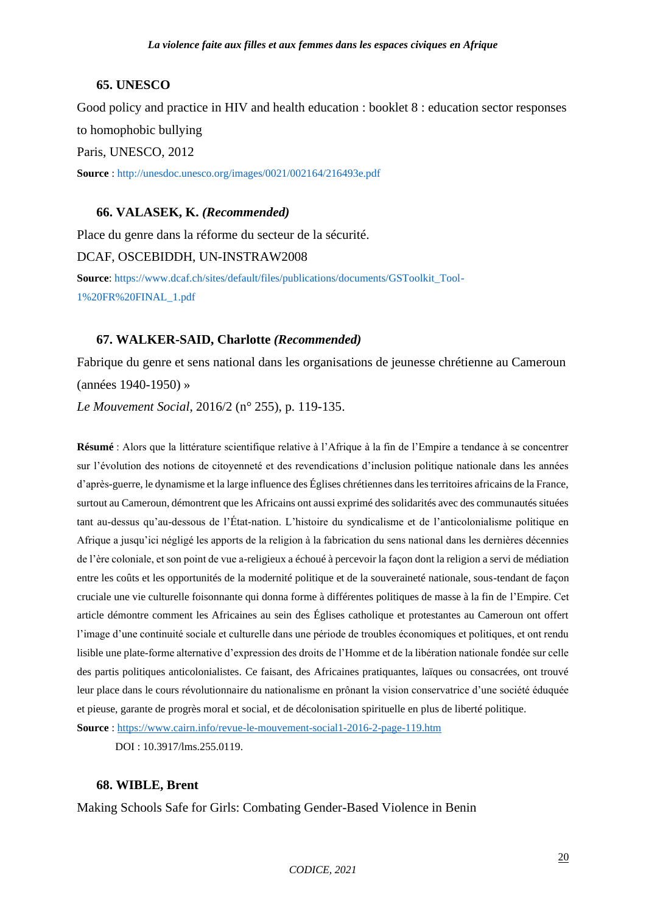# **65. UNESCO**

Good policy and practice in HIV and health education : booklet 8 : education sector responses to homophobic bullying Paris, UNESCO, 2012 **Source** : <http://unesdoc.unesco.org/images/0021/002164/216493e.pdf>

# **66. VALASEK, K.** *(Recommended)*

Place du genre dans la réforme du secteur de la sécurité. DCAF, OSCEBIDDH, UN-INSTRAW2008 **Source**[: https://www.dcaf.ch/sites/default/files/publications/documents/GSToolkit\\_Tool-](https://www.dcaf.ch/sites/default/files/publications/documents/GSToolkit_Tool-1%20FR%20FINAL_1.pdf)[1%20FR%20FINAL\\_1.pdf](https://www.dcaf.ch/sites/default/files/publications/documents/GSToolkit_Tool-1%20FR%20FINAL_1.pdf)

# **67. WALKER-SAID, Charlotte** *(Recommended)*

Fabrique du genre et sens national dans les organisations de jeunesse chrétienne au Cameroun (années 1940-1950) »

*Le Mouvement Social*, 2016/2 (n° 255), p. 119-135.

**Résumé** : Alors que la littérature scientifique relative à l'Afrique à la fin de l'Empire a tendance à se concentrer sur l'évolution des notions de citoyenneté et des revendications d'inclusion politique nationale dans les années d'après-guerre, le dynamisme et la large influence des Églises chrétiennes dans les territoires africains de la France, surtout au Cameroun, démontrent que les Africains ont aussi exprimé des solidarités avec des communautés situées tant au-dessus qu'au-dessous de l'État-nation. L'histoire du syndicalisme et de l'anticolonialisme politique en Afrique a jusqu'ici négligé les apports de la religion à la fabrication du sens national dans les dernières décennies de l'ère coloniale, et son point de vue a-religieux a échoué à percevoir la façon dont la religion a servi de médiation entre les coûts et les opportunités de la modernité politique et de la souveraineté nationale, sous-tendant de façon cruciale une vie culturelle foisonnante qui donna forme à différentes politiques de masse à la fin de l'Empire. Cet article démontre comment les Africaines au sein des Églises catholique et protestantes au Cameroun ont offert l'image d'une continuité sociale et culturelle dans une période de troubles économiques et politiques, et ont rendu lisible une plate-forme alternative d'expression des droits de l'Homme et de la libération nationale fondée sur celle des partis politiques anticolonialistes. Ce faisant, des Africaines pratiquantes, laïques ou consacrées, ont trouvé leur place dans le cours révolutionnaire du nationalisme en prônant la vision conservatrice d'une société éduquée et pieuse, garante de progrès moral et social, et de décolonisation spirituelle en plus de liberté politique.

**Source** :<https://www.cairn.info/revue-le-mouvement-social1-2016-2-page-119.htm>

DOI : 10.3917/lms.255.0119.

# **68. WIBLE, Brent**

Making Schools Safe for Girls: Combating Gender-Based Violence in Benin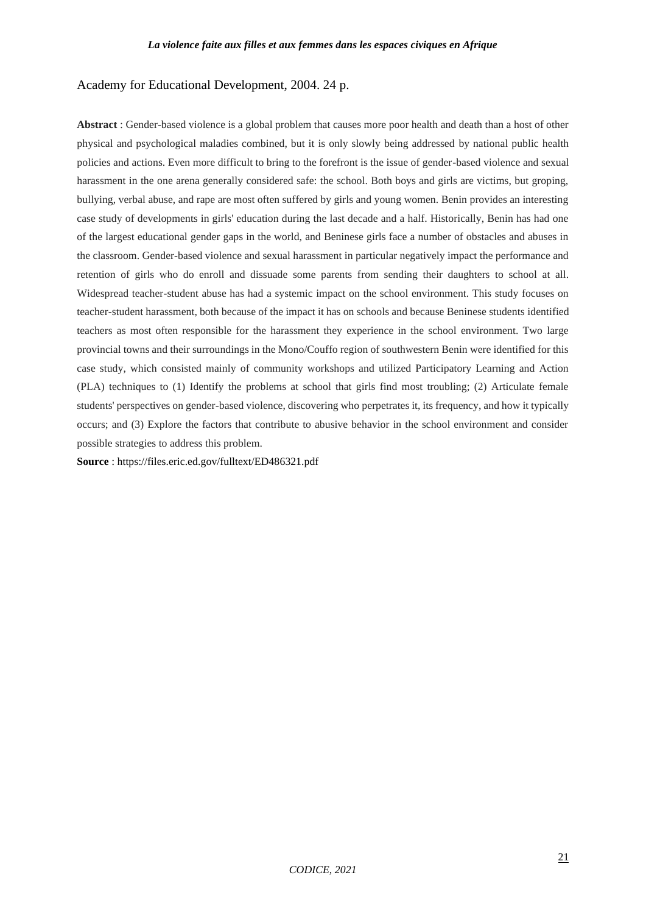# Academy for Educational Development, 2004. 24 p.

**Abstract** : Gender-based violence is a global problem that causes more poor health and death than a host of other physical and psychological maladies combined, but it is only slowly being addressed by national public health policies and actions. Even more difficult to bring to the forefront is the issue of gender-based violence and sexual harassment in the one arena generally considered safe: the school. Both boys and girls are victims, but groping, bullying, verbal abuse, and rape are most often suffered by girls and young women. Benin provides an interesting case study of developments in girls' education during the last decade and a half. Historically, Benin has had one of the largest educational gender gaps in the world, and Beninese girls face a number of obstacles and abuses in the classroom. Gender-based violence and sexual harassment in particular negatively impact the performance and retention of girls who do enroll and dissuade some parents from sending their daughters to school at all. Widespread teacher-student abuse has had a systemic impact on the school environment. This study focuses on teacher-student harassment, both because of the impact it has on schools and because Beninese students identified teachers as most often responsible for the harassment they experience in the school environment. Two large provincial towns and their surroundings in the Mono/Couffo region of southwestern Benin were identified for this case study, which consisted mainly of community workshops and utilized Participatory Learning and Action (PLA) techniques to (1) Identify the problems at school that girls find most troubling; (2) Articulate female students' perspectives on gender-based violence, discovering who perpetrates it, its frequency, and how it typically occurs; and (3) Explore the factors that contribute to abusive behavior in the school environment and consider possible strategies to address this problem.

**Source** : https://files.eric.ed.gov/fulltext/ED486321.pdf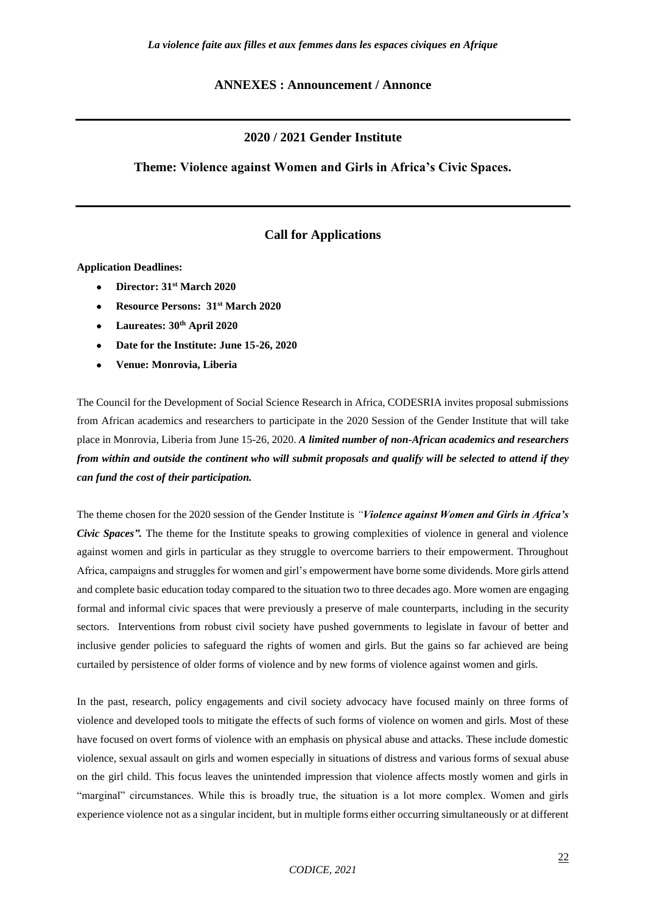#### **ANNEXES : Announcement / Annonce**

### **2020 / 2021 Gender Institute**

#### **Theme: Violence against Women and Girls in Africa's Civic Spaces.**

## **Call for Applications**

**Application Deadlines:**

- **Director: 31st March 2020**
- **Resource Persons: 31st March 2020**
- **Laureates: 30th April 2020**
- **Date for the Institute: June 15-26, 2020**
- **Venue: Monrovia, Liberia**

The Council for the Development of Social Science Research in Africa, CODESRIA invites proposal submissions from African academics and researchers to participate in the 2020 Session of the Gender Institute that will take place in Monrovia, Liberia from June 15-26, 2020. *A limited number of non-African academics and researchers from within and outside the continent who will submit proposals and qualify will be selected to attend if they can fund the cost of their participation.*

The theme chosen for the 2020 session of the Gender Institute is *"Violence against Women and Girls in Africa's Civic Spaces"*. The theme for the Institute speaks to growing complexities of violence in general and violence against women and girls in particular as they struggle to overcome barriers to their empowerment. Throughout Africa, campaigns and struggles for women and girl's empowerment have borne some dividends. More girls attend and complete basic education today compared to the situation two to three decades ago. More women are engaging formal and informal civic spaces that were previously a preserve of male counterparts, including in the security sectors. Interventions from robust civil society have pushed governments to legislate in favour of better and inclusive gender policies to safeguard the rights of women and girls. But the gains so far achieved are being curtailed by persistence of older forms of violence and by new forms of violence against women and girls.

In the past, research, policy engagements and civil society advocacy have focused mainly on three forms of violence and developed tools to mitigate the effects of such forms of violence on women and girls. Most of these have focused on overt forms of violence with an emphasis on physical abuse and attacks. These include domestic violence, sexual assault on girls and women especially in situations of distress and various forms of sexual abuse on the girl child. This focus leaves the unintended impression that violence affects mostly women and girls in "marginal" circumstances. While this is broadly true, the situation is a lot more complex. Women and girls experience violence not as a singular incident, but in multiple forms either occurring simultaneously or at different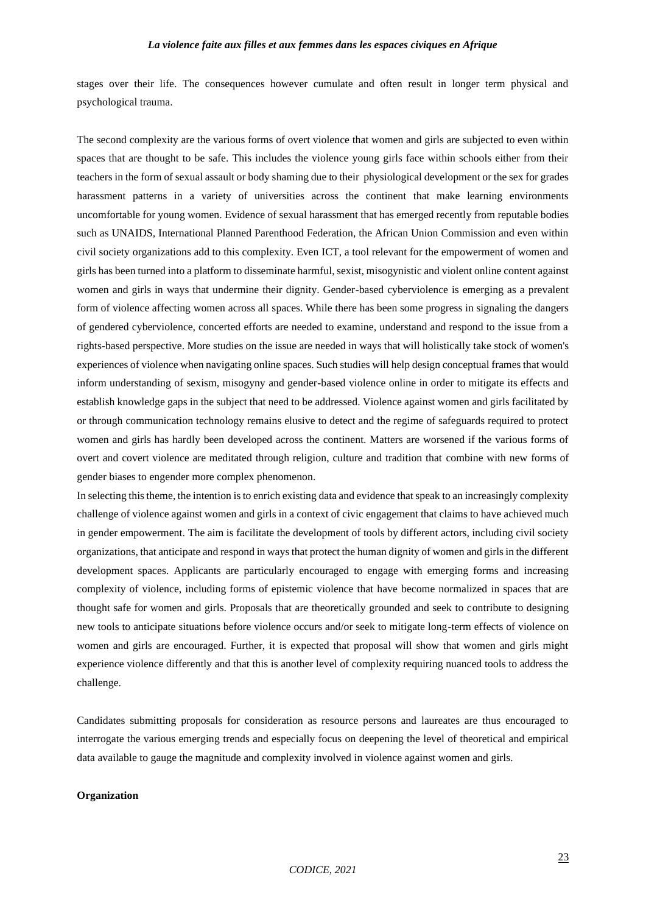stages over their life. The consequences however cumulate and often result in longer term physical and psychological trauma.

The second complexity are the various forms of overt violence that women and girls are subjected to even within spaces that are thought to be safe. This includes the violence young girls face within schools either from their teachers in the form of sexual assault or body shaming due to their physiological development or the sex for grades harassment patterns in a variety of universities across the continent that make learning environments uncomfortable for young women. Evidence of sexual harassment that has emerged recently from reputable bodies such as UNAIDS, International Planned Parenthood Federation, the African Union Commission and even within civil society organizations add to this complexity. Even ICT, a tool relevant for the empowerment of women and girls has been turned into a platform to disseminate harmful, sexist, misogynistic and violent online content against women and girls in ways that undermine their dignity. Gender-based cyberviolence is emerging as a prevalent form of violence affecting women across all spaces. While there has been some progress in signaling the dangers of gendered cyberviolence, concerted efforts are needed to examine, understand and respond to the issue from a rights-based perspective. More studies on the issue are needed in ways that will holistically take stock of women's experiences of violence when navigating online spaces. Such studies will help design conceptual frames that would inform understanding of sexism, misogyny and gender-based violence online in order to mitigate its effects and establish knowledge gaps in the subject that need to be addressed. Violence against women and girls facilitated by or through communication technology remains elusive to detect and the regime of safeguards required to protect women and girls has hardly been developed across the continent. Matters are worsened if the various forms of overt and covert violence are meditated through religion, culture and tradition that combine with new forms of gender biases to engender more complex phenomenon.

In selecting this theme, the intention is to enrich existing data and evidence that speak to an increasingly complexity challenge of violence against women and girls in a context of civic engagement that claims to have achieved much in gender empowerment. The aim is facilitate the development of tools by different actors, including civil society organizations, that anticipate and respond in ways that protect the human dignity of women and girls in the different development spaces. Applicants are particularly encouraged to engage with emerging forms and increasing complexity of violence, including forms of epistemic violence that have become normalized in spaces that are thought safe for women and girls. Proposals that are theoretically grounded and seek to contribute to designing new tools to anticipate situations before violence occurs and/or seek to mitigate long-term effects of violence on women and girls are encouraged. Further, it is expected that proposal will show that women and girls might experience violence differently and that this is another level of complexity requiring nuanced tools to address the challenge.

Candidates submitting proposals for consideration as resource persons and laureates are thus encouraged to interrogate the various emerging trends and especially focus on deepening the level of theoretical and empirical data available to gauge the magnitude and complexity involved in violence against women and girls.

#### **Organization**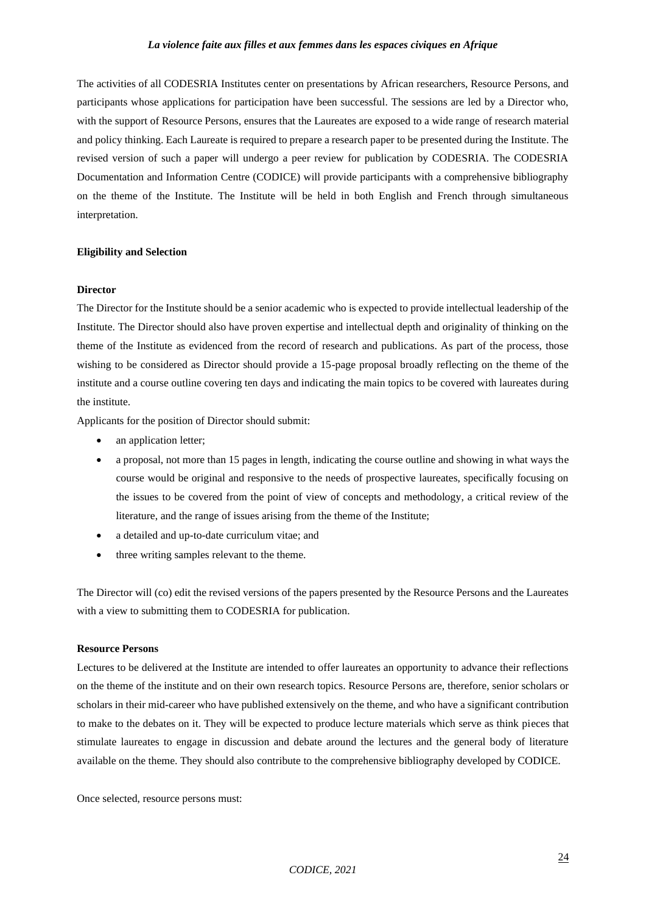The activities of all CODESRIA Institutes center on presentations by African researchers, Resource Persons, and participants whose applications for participation have been successful. The sessions are led by a Director who, with the support of Resource Persons, ensures that the Laureates are exposed to a wide range of research material and policy thinking. Each Laureate is required to prepare a research paper to be presented during the Institute. The revised version of such a paper will undergo a peer review for publication by CODESRIA. The CODESRIA Documentation and Information Centre (CODICE) will provide participants with a comprehensive bibliography on the theme of the Institute. The Institute will be held in both English and French through simultaneous interpretation.

#### **Eligibility and Selection**

#### **Director**

The Director for the Institute should be a senior academic who is expected to provide intellectual leadership of the Institute. The Director should also have proven expertise and intellectual depth and originality of thinking on the theme of the Institute as evidenced from the record of research and publications. As part of the process, those wishing to be considered as Director should provide a 15-page proposal broadly reflecting on the theme of the institute and a course outline covering ten days and indicating the main topics to be covered with laureates during the institute.

Applicants for the position of Director should submit:

- an application letter;
- a proposal, not more than 15 pages in length, indicating the course outline and showing in what ways the course would be original and responsive to the needs of prospective laureates, specifically focusing on the issues to be covered from the point of view of concepts and methodology, a critical review of the literature, and the range of issues arising from the theme of the Institute;
- a detailed and up-to-date curriculum vitae; and
- three writing samples relevant to the theme.

The Director will (co) edit the revised versions of the papers presented by the Resource Persons and the Laureates with a view to submitting them to CODESRIA for publication.

#### **Resource Persons**

Lectures to be delivered at the Institute are intended to offer laureates an opportunity to advance their reflections on the theme of the institute and on their own research topics. Resource Persons are, therefore, senior scholars or scholars in their mid-career who have published extensively on the theme, and who have a significant contribution to make to the debates on it. They will be expected to produce lecture materials which serve as think pieces that stimulate laureates to engage in discussion and debate around the lectures and the general body of literature available on the theme. They should also contribute to the comprehensive bibliography developed by CODICE.

Once selected, resource persons must: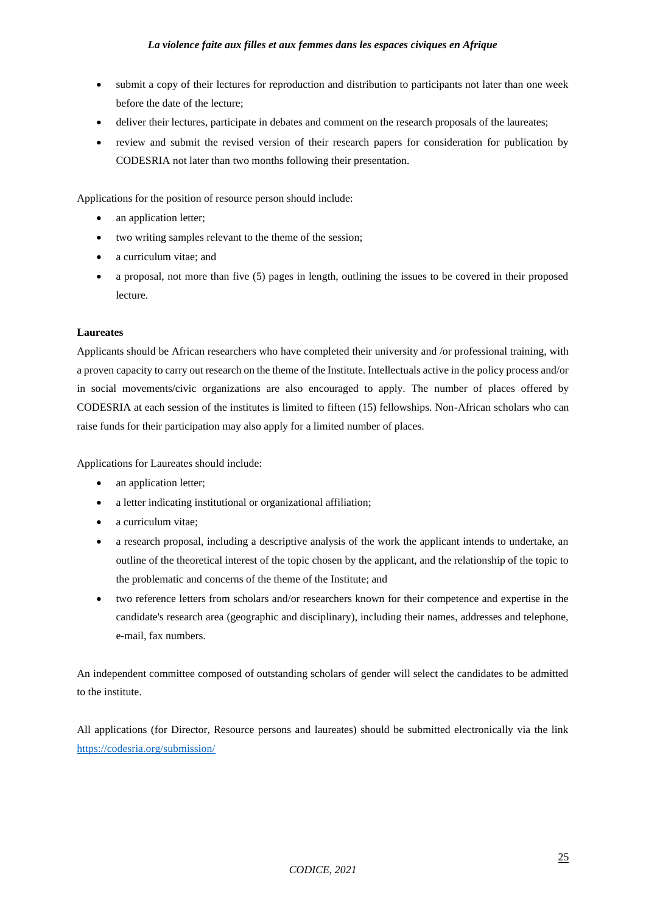- submit a copy of their lectures for reproduction and distribution to participants not later than one week before the date of the lecture;
- deliver their lectures, participate in debates and comment on the research proposals of the laureates;
- review and submit the revised version of their research papers for consideration for publication by CODESRIA not later than two months following their presentation.

Applications for the position of resource person should include:

- an application letter;
- two writing samples relevant to the theme of the session;
- a curriculum vitae: and
- a proposal, not more than five (5) pages in length, outlining the issues to be covered in their proposed lecture.

#### **Laureates**

Applicants should be African researchers who have completed their university and /or professional training, with a proven capacity to carry out research on the theme of the Institute. Intellectuals active in the policy process and/or in social movements/civic organizations are also encouraged to apply. The number of places offered by CODESRIA at each session of the institutes is limited to fifteen (15) fellowships. Non-African scholars who can raise funds for their participation may also apply for a limited number of places.

Applications for Laureates should include:

- an application letter;
- a letter indicating institutional or organizational affiliation;
- a curriculum vitae;
- a research proposal, including a descriptive analysis of the work the applicant intends to undertake, an outline of the theoretical interest of the topic chosen by the applicant, and the relationship of the topic to the problematic and concerns of the theme of the Institute; and
- two reference letters from scholars and/or researchers known for their competence and expertise in the candidate's research area (geographic and disciplinary), including their names, addresses and telephone, e-mail, fax numbers.

An independent committee composed of outstanding scholars of gender will select the candidates to be admitted to the institute.

All applications (for Director, Resource persons and laureates) should be submitted electronically via the link <https://codesria.org/submission/>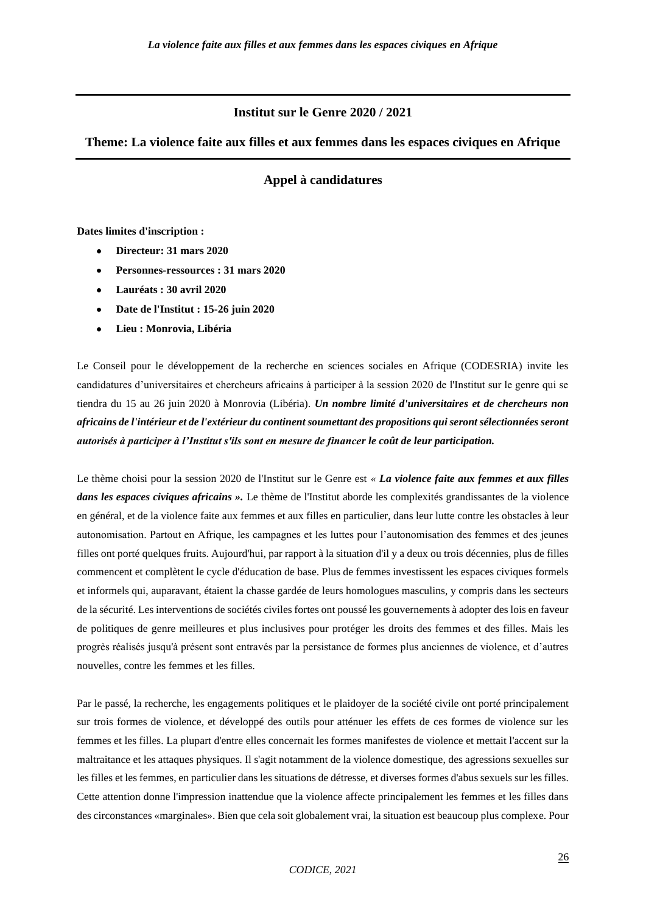## **Institut sur le Genre 2020 / 2021**

## **Theme: La violence faite aux filles et aux femmes dans les espaces civiques en Afrique**

# **Appel à candidatures**

#### **Dates limites d'inscription :**

- **Directeur: 31 mars 2020**
- **Personnes-ressources : 31 mars 2020**
- **Lauréats : 30 avril 2020**
- **Date de l'Institut : 15-26 juin 2020**
- **Lieu : Monrovia, Libéria**

Le Conseil pour le développement de la recherche en sciences sociales en Afrique (CODESRIA) invite les candidatures d'universitaires et chercheurs africains à participer à la session 2020 de l'Institut sur le genre qui se tiendra du 15 au 26 juin 2020 à Monrovia (Libéria). *Un nombre limité d'universitaires et de chercheurs non africains de l'intérieur et de l'extérieur du continent soumettant des propositions qui seront sélectionnées seront autorisés à participer à l'Institut s'ils sont en mesure de financer le coût de leur participation.*

Le thème choisi pour la session 2020 de l'Institut sur le Genre est *« La violence faite aux femmes et aux filles dans les espaces civiques africains ».* Le thème de l'Institut aborde les complexités grandissantes de la violence en général, et de la violence faite aux femmes et aux filles en particulier, dans leur lutte contre les obstacles à leur autonomisation. Partout en Afrique, les campagnes et les luttes pour l'autonomisation des femmes et des jeunes filles ont porté quelques fruits. Aujourd'hui, par rapport à la situation d'il y a deux ou trois décennies, plus de filles commencent et complètent le cycle d'éducation de base. Plus de femmes investissent les espaces civiques formels et informels qui, auparavant, étaient la chasse gardée de leurs homologues masculins, y compris dans les secteurs de la sécurité. Les interventions de sociétés civiles fortes ont poussé les gouvernements à adopter des lois en faveur de politiques de genre meilleures et plus inclusives pour protéger les droits des femmes et des filles. Mais les progrès réalisés jusqu'à présent sont entravés par la persistance de formes plus anciennes de violence, et d'autres nouvelles, contre les femmes et les filles.

Par le passé, la recherche, les engagements politiques et le plaidoyer de la société civile ont porté principalement sur trois formes de violence, et développé des outils pour atténuer les effets de ces formes de violence sur les femmes et les filles. La plupart d'entre elles concernait les formes manifestes de violence et mettait l'accent sur la maltraitance et les attaques physiques. Il s'agit notamment de la violence domestique, des agressions sexuelles sur les filles et les femmes, en particulier dans les situations de détresse, et diverses formes d'abus sexuels sur les filles. Cette attention donne l'impression inattendue que la violence affecte principalement les femmes et les filles dans des circonstances «marginales». Bien que cela soit globalement vrai, la situation est beaucoup plus complexe. Pour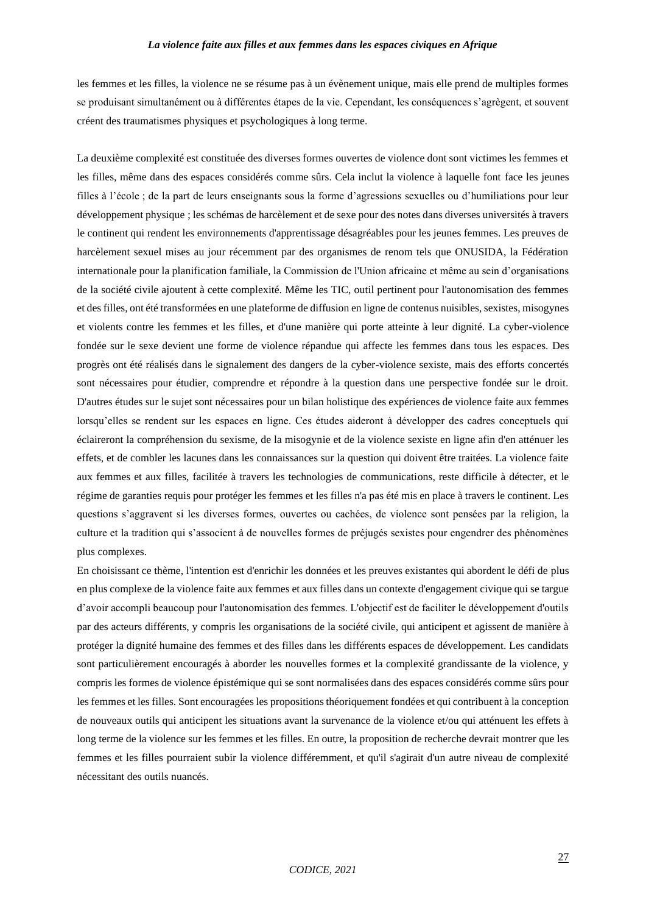les femmes et les filles, la violence ne se résume pas à un évènement unique, mais elle prend de multiples formes se produisant simultanément ou à différentes étapes de la vie. Cependant, les conséquences s'agrègent, et souvent créent des traumatismes physiques et psychologiques à long terme.

La deuxième complexité est constituée des diverses formes ouvertes de violence dont sont victimes les femmes et les filles, même dans des espaces considérés comme sûrs. Cela inclut la violence à laquelle font face les jeunes filles à l'école ; de la part de leurs enseignants sous la forme d'agressions sexuelles ou d'humiliations pour leur développement physique ; les schémas de harcèlement et de sexe pour des notes dans diverses universités à travers le continent qui rendent les environnements d'apprentissage désagréables pour les jeunes femmes. Les preuves de harcèlement sexuel mises au jour récemment par des organismes de renom tels que ONUSIDA, la Fédération internationale pour la planification familiale, la Commission de l'Union africaine et même au sein d'organisations de la société civile ajoutent à cette complexité. Même les TIC, outil pertinent pour l'autonomisation des femmes et des filles, ont été transformées en une plateforme de diffusion en ligne de contenus nuisibles, sexistes, misogynes et violents contre les femmes et les filles, et d'une manière qui porte atteinte à leur dignité. La cyber-violence fondée sur le sexe devient une forme de violence répandue qui affecte les femmes dans tous les espaces. Des progrès ont été réalisés dans le signalement des dangers de la cyber-violence sexiste, mais des efforts concertés sont nécessaires pour étudier, comprendre et répondre à la question dans une perspective fondée sur le droit. D'autres études sur le sujet sont nécessaires pour un bilan holistique des expériences de violence faite aux femmes lorsqu'elles se rendent sur les espaces en ligne. Ces études aideront à développer des cadres conceptuels qui éclaireront la compréhension du sexisme, de la misogynie et de la violence sexiste en ligne afin d'en atténuer les effets, et de combler les lacunes dans les connaissances sur la question qui doivent être traitées. La violence faite aux femmes et aux filles, facilitée à travers les technologies de communications, reste difficile à détecter, et le régime de garanties requis pour protéger les femmes et les filles n'a pas été mis en place à travers le continent. Les questions s'aggravent si les diverses formes, ouvertes ou cachées, de violence sont pensées par la religion, la culture et la tradition qui s'associent à de nouvelles formes de préjugés sexistes pour engendrer des phénomènes plus complexes.

En choisissant ce thème, l'intention est d'enrichir les données et les preuves existantes qui abordent le défi de plus en plus complexe de la violence faite aux femmes et aux filles dans un contexte d'engagement civique qui se targue d'avoir accompli beaucoup pour l'autonomisation des femmes. L'objectif est de faciliter le développement d'outils par des acteurs différents, y compris les organisations de la société civile, qui anticipent et agissent de manière à protéger la dignité humaine des femmes et des filles dans les différents espaces de développement. Les candidats sont particulièrement encouragés à aborder les nouvelles formes et la complexité grandissante de la violence, y compris les formes de violence épistémique qui se sont normalisées dans des espaces considérés comme sûrs pour les femmes et les filles. Sont encouragées les propositions théoriquement fondées et qui contribuent à la conception de nouveaux outils qui anticipent les situations avant la survenance de la violence et/ou qui atténuent les effets à long terme de la violence sur les femmes et les filles. En outre, la proposition de recherche devrait montrer que les femmes et les filles pourraient subir la violence différemment, et qu'il s'agirait d'un autre niveau de complexité nécessitant des outils nuancés.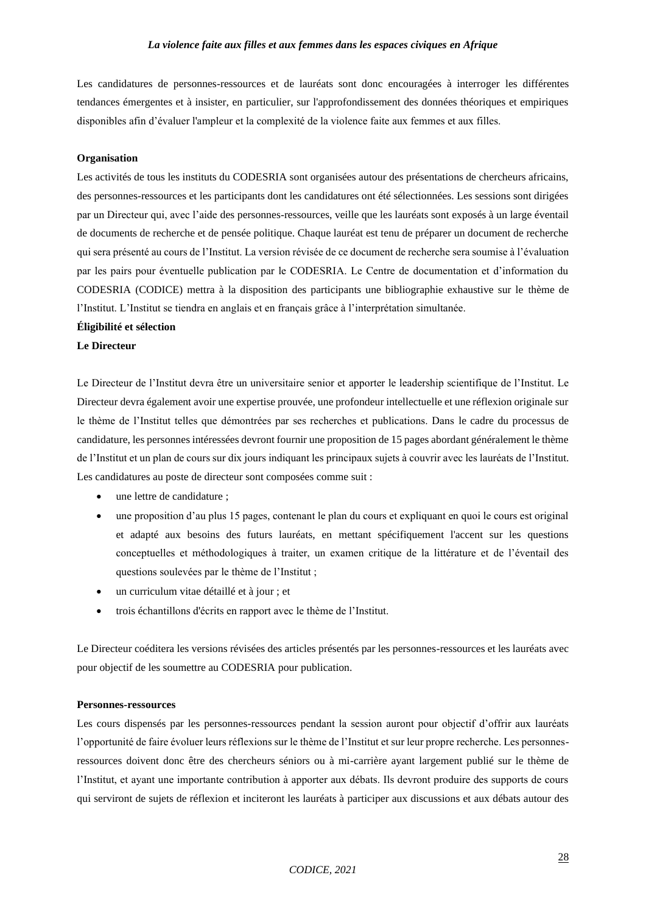Les candidatures de personnes-ressources et de lauréats sont donc encouragées à interroger les différentes tendances émergentes et à insister, en particulier, sur l'approfondissement des données théoriques et empiriques disponibles afin d'évaluer l'ampleur et la complexité de la violence faite aux femmes et aux filles.

#### **Organisation**

Les activités de tous les instituts du CODESRIA sont organisées autour des présentations de chercheurs africains, des personnes-ressources et les participants dont les candidatures ont été sélectionnées. Les sessions sont dirigées par un Directeur qui, avec l'aide des personnes-ressources, veille que les lauréats sont exposés à un large éventail de documents de recherche et de pensée politique. Chaque lauréat est tenu de préparer un document de recherche qui sera présenté au cours de l'Institut. La version révisée de ce document de recherche sera soumise à l'évaluation par les pairs pour éventuelle publication par le CODESRIA. Le Centre de documentation et d'information du CODESRIA (CODICE) mettra à la disposition des participants une bibliographie exhaustive sur le thème de l'Institut. L'Institut se tiendra en anglais et en français grâce à l'interprétation simultanée.

#### **Éligibilité et sélection**

#### **Le Directeur**

Le Directeur de l'Institut devra être un universitaire senior et apporter le leadership scientifique de l'Institut. Le Directeur devra également avoir une expertise prouvée, une profondeur intellectuelle et une réflexion originale sur le thème de l'Institut telles que démontrées par ses recherches et publications. Dans le cadre du processus de candidature, les personnes intéressées devront fournir une proposition de 15 pages abordant généralement le thème de l'Institut et un plan de cours sur dix jours indiquant les principaux sujets à couvrir avec les lauréats de l'Institut. Les candidatures au poste de directeur sont composées comme suit :

- une lettre de candidature ;
- une proposition d'au plus 15 pages, contenant le plan du cours et expliquant en quoi le cours est original et adapté aux besoins des futurs lauréats, en mettant spécifiquement l'accent sur les questions conceptuelles et méthodologiques à traiter, un examen critique de la littérature et de l'éventail des questions soulevées par le thème de l'Institut ;
- un curriculum vitae détaillé et à jour ; et
- trois échantillons d'écrits en rapport avec le thème de l'Institut.

Le Directeur coéditera les versions révisées des articles présentés par les personnes-ressources et les lauréats avec pour objectif de les soumettre au CODESRIA pour publication.

#### **Personnes-ressources**

Les cours dispensés par les personnes-ressources pendant la session auront pour objectif d'offrir aux lauréats l'opportunité de faire évoluer leurs réflexions sur le thème de l'Institut et sur leur propre recherche. Les personnesressources doivent donc être des chercheurs séniors ou à mi-carrière ayant largement publié sur le thème de l'Institut, et ayant une importante contribution à apporter aux débats. Ils devront produire des supports de cours qui serviront de sujets de réflexion et inciteront les lauréats à participer aux discussions et aux débats autour des